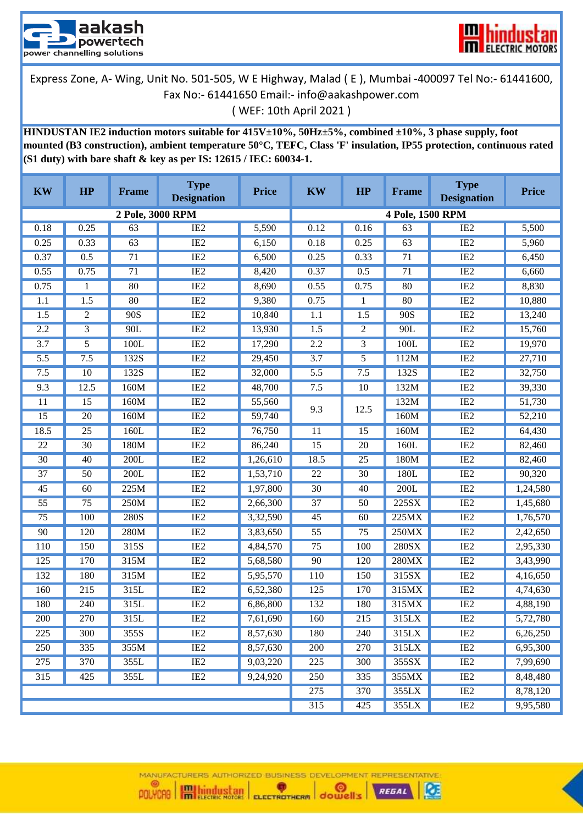



**HINDUSTAN IE2 induction motors suitable for 415V±10%, 50Hz±5%, combined ±10%, 3 phase supply, foot mounted (B3 construction), ambient temperature 50°C, TEFC, Class 'F' insulation, IP55 protection, continuous rated (S1 duty) with bare shaft & key as per IS: 12615 / IEC: 60034-1.**

| <b>KW</b>        | HP              | <b>Frame</b>     | <b>Type</b><br><b>Designation</b> | <b>Price</b> | <b>KW</b>        | HP              | <b>Frame</b>     | <b>Type</b><br><b>Designation</b> | <b>Price</b> |
|------------------|-----------------|------------------|-----------------------------------|--------------|------------------|-----------------|------------------|-----------------------------------|--------------|
|                  |                 | 2 Pole, 3000 RPM |                                   |              |                  |                 | 4 Pole, 1500 RPM |                                   |              |
| 0.18             | 0.25            | 63               | IE <sub>2</sub>                   | 5,590        | 0.12             | 0.16            | 63               | IE <sub>2</sub>                   | 5,500        |
| 0.25             | 0.33            | 63               | IE2                               | 6,150        | 0.18             | 0.25            | 63               | IE2                               | 5,960        |
| 0.37             | 0.5             | 71               | IE2                               | 6,500        | 0.25             | 0.33            | 71               | IE2                               | 6,450        |
| 0.55             | 0.75            | $\overline{71}$  | IE2                               | 8,420        | 0.37             | 0.5             | $\overline{71}$  | IE2                               | 6,660        |
| 0.75             | 1               | 80               | $\overline{IE2}$                  | 8,690        | 0.55             | 0.75            | 80               | IE2                               | 8,830        |
| 1.1              | 1.5             | 80               | IE2                               | 9,380        | 0.75             | 1               | 80               | IE <sub>2</sub>                   | 10,880       |
| 1.5              | $\overline{c}$  | 90S              | IE2                               | 10,840       | 1.1              | 1.5             | 90S              | IE2                               | 13,240       |
| 2.2              | 3               | 90L              | IE2                               | 13,930       | 1.5              | 2               | 90L              | IE2                               | 15,760       |
| $\overline{3.7}$ | $\overline{5}$  | 100L             | IE2                               | 17,290       | 2.2              | 3               | 100L             | IE2                               | 19,970       |
| $\overline{5.5}$ | 7.5             | 132S             | IE2                               | 29,450       | 3.7              | 5               | 112M             | IE2                               | 27,710       |
| 7.5              | 10              | 132S             | IE2                               | 32,000       | 5.5              | 7.5             | 132S             | IE2                               | 32,750       |
| 9.3              | 12.5            | 160M             | IE2                               | 48,700       | 7.5              | 10              | 132M             | IE2                               | 39,330       |
| 11               | 15              | 160M             | IE2                               | 55,560       | 9.3              | 12.5            | 132M             | IE2                               | 51,730       |
| $\overline{15}$  | $\overline{20}$ | 160M             | IE2                               | 59,740       |                  |                 | 160M             | IE2                               | 52,210       |
| 18.5             | 25              | 160L             | IE2                               | 76,750       | 11               | 15              | 160M             | IE2                               | 64,430       |
| $\overline{22}$  | $\overline{30}$ | 180M             | IE2                               | 86,240       | $\overline{15}$  | $\overline{20}$ | 160L             | IE2                               | 82,460       |
| 30               | 40              | 200L             | IE2                               | 1,26,610     | 18.5             | $\overline{25}$ | 180M             | IE2                               | 82,460       |
| $\overline{37}$  | $\overline{50}$ | 200L             | IE2                               | 1,53,710     | $\overline{22}$  | $\overline{30}$ | 180L             | IE2                               | 90,320       |
| 45               | 60              | 225M             | IE2                               | 1,97,800     | $\overline{30}$  | 40              | 200L             | IE <sub>2</sub>                   | 1,24,580     |
| $\overline{55}$  | $\overline{75}$ | 250M             | IE2                               | 2,66,300     | $\overline{37}$  | $\overline{50}$ | 225SX            | IE2                               | 1,45,680     |
| 75               | 100             | 280S             | IE2                               | 3,32,590     | 45               | 60              | 225MX            | IE2                               | 1,76,570     |
| 90               | 120             | 280M             | IE2                               | 3,83,650     | $\overline{55}$  | $\overline{75}$ | 250MX            | IE2                               | 2,42,650     |
| 110              | 150             | 315S             | IE2                               | 4,84,570     | 75               | 100             | <b>280SX</b>     | IE2                               | 2,95,330     |
| 125              | 170             | 315M             | IE2                               | 5,68,580     | 90               | 120             | 280MX            | IE2                               | 3,43,990     |
| 132              | 180             | 315M             | IE2                               | 5,95,570     | 110              | 150             | 315SX            | IE2                               | 4,16,650     |
| 160              | 215             | 315L             | IE2                               | 6,52,380     | 125              | 170             | 315MX            | IE2                               | 4,74,630     |
| 180              | 240             | 315L             | IE2                               | 6,86,800     | 132              | 180             | 315MX            | IE2                               | 4,88,190     |
| <b>200</b>       | 270             | 315L             | IE <sub>2</sub>                   | 7,61,690     | 160              | 215             | 315LX            | IE <sub>2</sub>                   | 5,72,780     |
| $\overline{225}$ | 300             | 355S             | IE2                               | 8,57,630     | 180              | 240             | 315LX            | IE2                               | 6,26,250     |
| 250              | 335             | 355M             | IE <sub>2</sub>                   | 8,57,630     | 200              | 270             | 315LX            | IE <sub>2</sub>                   | 6,95,300     |
| 275              | 370             | 355L             | IE2                               | 9,03,220     | $\overline{225}$ | 300             | 355SX            | IE2                               | 7,99,690     |
| 315              | 425             | 355L             | IE <sub>2</sub>                   | 9,24,920     | 250              | 335             | 355MX            | IE <sub>2</sub>                   | 8,48,480     |
|                  |                 |                  |                                   |              |                  | 370             | 355LX            | IE2                               | 8,78,120     |
|                  |                 |                  |                                   |              | 315              | 425             | 355LX            | IE2                               | 9,95,580     |

MANUFACTURERS AUTHORIZED BUSINESS DEVELOPMENT REPRESENTATIVE:

Ø

POLYCAB **IM hindustan** ELECTROTHERM dowell's REGAL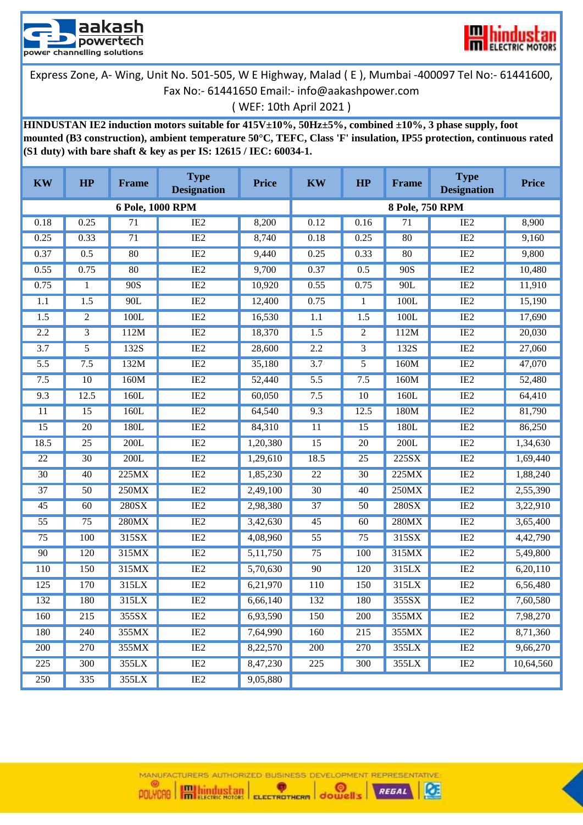



## ( WEF: 10th April 2021 )

**HINDUSTAN IE2 induction motors suitable for 415V±10%, 50Hz±5%, combined ±10%, 3 phase supply, foot mounted (B3 construction), ambient temperature 50°C, TEFC, Class 'F' insulation, IP55 protection, continuous rated (S1 duty) with bare shaft & key as per IS: 12615 / IEC: 60034-1.**

| <b>KW</b>        | HP               | <b>Frame</b>     | <b>Type</b><br><b>Designation</b> | <b>Price</b> | <b>KW</b>        | HP               | <b>Frame</b>    | <b>Type</b><br><b>Designation</b> | <b>Price</b> |
|------------------|------------------|------------------|-----------------------------------|--------------|------------------|------------------|-----------------|-----------------------------------|--------------|
|                  |                  | 6 Pole, 1000 RPM |                                   |              |                  |                  | 8 Pole, 750 RPM |                                   |              |
| 0.18             | 0.25             | 71               | IE <sub>2</sub>                   | 8,200        | 0.12             | 0.16             | $\overline{71}$ | IE <sub>2</sub>                   | 8,900        |
| 0.25             | 0.33             | 71               | IE2                               | 8,740        | 0.18             | 0.25             | 80              | IE2                               | 9,160        |
| 0.37             | 0.5              | 80               | IE2                               | 9,440        | 0.25             | 0.33             | 80              | IE2                               | 9,800        |
| 0.55             | 0.75             | 80               | IE2                               | 9,700        | 0.37             | 0.5              | 90S             | IE2                               | 10,480       |
| 0.75             | 1                | 90S              | IE2                               | 10,920       | 0.55             | 0.75             | 90L             | IE2                               | 11,910       |
| 1.1              | $\overline{1.5}$ | 90L              | IE2                               | 12,400       | 0.75             | $\mathbf{1}$     | 100L            | IE2                               | 15,190       |
| 1.5              | 2                | 100L             | IE2                               | 16,530       | 1.1              | $\overline{1.5}$ | 100L            | IE2                               | 17,690       |
| 2.2              | 3                | 112M             | IE2                               | 18,370       | 1.5              | $\overline{c}$   | 112M            | IE2                               | 20,030       |
| $\overline{3.7}$ | $\overline{5}$   | 132S             | IE2                               | 28,600       | 2.2              | 3                | 132S            | IE2                               | 27,060       |
| 5.5              | 7.5              | 132M             | IE2                               | 35,180       | $\overline{3.7}$ | 5                | 160M            | IE2                               | 47,070       |
| 7.5              | 10               | 160M             | IE2                               | 52,440       | 5.5              | 7.5              | 160M            | IE2                               | 52,480       |
| 9.3              | 12.5             | 160L             | IE2                               | 60,050       | 7.5              | $\overline{10}$  | 160L            | IE2                               | 64,410       |
| 11               | 15               | 160L             | IE2                               | 64,540       | 9.3              | 12.5             | 180M            | IE2                               | 81,790       |
| 15               | $\overline{20}$  | 180L             | IE2                               | 84,310       | 11               | 15               | 180L            | IE2                               | 86,250       |
| 18.5             | $\overline{25}$  | 200L             | IE2                               | 1,20,380     | $\overline{15}$  | $\overline{20}$  | 200L            | IE2                               | 1,34,630     |
| 22               | 30               | 200L             | IE2                               | 1,29,610     | 18.5             | 25               | 225SX           | IE <sub>2</sub>                   | 1,69,440     |
| $\overline{30}$  | 40               | 225MX            | IE2                               | 1,85,230     | $\overline{22}$  | $\overline{30}$  | 225MX           | IE2                               | 1,88,240     |
| $\overline{37}$  | 50               | 250MX            | IE2                               | 2,49,100     | $\overline{30}$  | 40               | 250MX           | IE2                               | 2,55,390     |
| 45               | 60               | 280SX            | IE2                               | 2,98,380     | 37               | 50               | 280SX           | IE <sub>2</sub>                   | 3,22,910     |
| $\overline{55}$  | 75               | 280MX            | IE2                               | 3,42,630     | 45               | 60               | 280MX           | IE2                               | 3,65,400     |
| $\overline{75}$  | 100              | 315SX            | IE2                               | 4,08,960     | $\overline{55}$  | $\overline{75}$  | 315SX           | IE2                               | 4,42,790     |
| 90               | 120              | 315MX            | IE2                               | 5,11,750     | 75               | 100              | 315MX           | IE2                               | 5,49,800     |
| 110              | 150              | 315MX            | IE2                               | 5,70,630     | 90               | 120              | 315LX           | IE2                               | 6,20,110     |
| 125              | 170              | 315LX            | IE2                               | 6,21,970     | 110              | 150              | 315LX           | IE2                               | 6,56,480     |
| 132              | 180              | 315LX            | IE2                               | 6,66,140     | 132              | 180              | 355SX           | IE2                               | 7,60,580     |
| 160              | 215              | 355SX            | IE <sub>2</sub>                   | 6,93,590     | 150              | 200              | 355MX           | IE <sub>2</sub>                   | 7,98,270     |
| 180              | 240              | 355MX            | IE2                               | 7,64,990     | 160              | $\overline{215}$ | 355MX           | IE2                               | 8,71,360     |
| 200              | 270              | 355MX            | IE2                               | 8,22,570     | 200              | 270              | 355LX           | IE2                               | 9,66,270     |
| 225              | 300              | 355LX            | IE <sub>2</sub>                   | 8,47,230     | 225              | 300              | 355LX           | IE <sub>2</sub>                   | 10,64,560    |
| 250              | 335              | 355LX            | IE2                               | 9,05,880     |                  |                  |                 |                                   |              |

MANUFACTURERS AUTHORIZED BUSINESS DEVELOPMENT REPRESENTATIVE: POLYCAB **IM hindustan** ELECTROTHERM dowell's

REGAL

Ø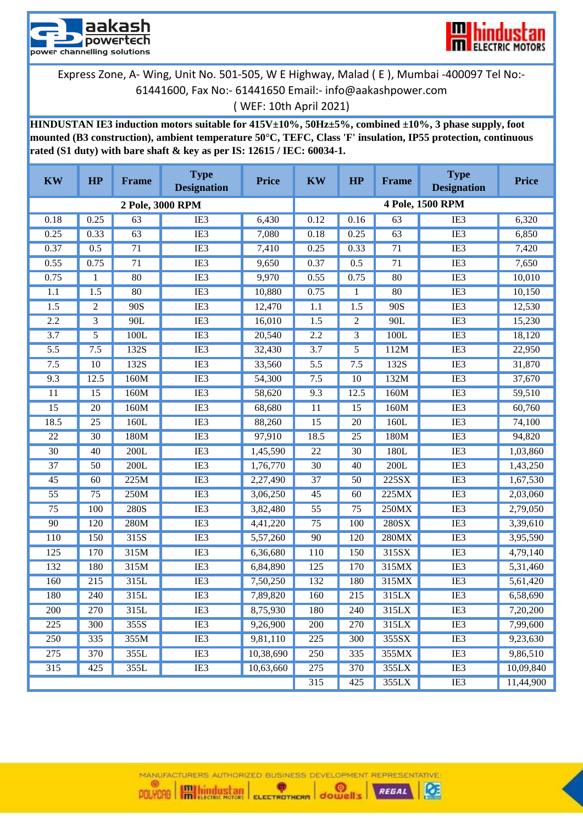



**HINDUSTAN IE3 induction motors suitable for 415V±10%, 50Hz±5%, combined ±10%, 3 phase supply, foot mounted (B3 construction), ambient temperature 50°C, TEFC, Class 'F' insulation, IP55 protection, continuous rated (S1 duty) with bare shaft & key as per IS: 12615 / IEC: 60034-1.**

| <b>KW</b>        | HP              | <b>Frame</b>     | <b>Type</b><br><b>Designation</b> | <b>Price</b> | <b>KW</b>        | HP           | <b>Frame</b> | <b>Type</b><br><b>Designation</b> | <b>Price</b> |
|------------------|-----------------|------------------|-----------------------------------|--------------|------------------|--------------|--------------|-----------------------------------|--------------|
|                  |                 | 2 Pole, 3000 RPM |                                   |              |                  |              |              | 4 Pole, 1500 RPM                  |              |
| 0.18             | 0.25            | 63               | IE3                               | 6,430        | 0.12             | 0.16         | 63           | IE <sub>3</sub>                   | 6,320        |
| 0.25             | 0.33            | 63               | IE <sub>3</sub>                   | 7,080        | 0.18             | 0.25         | 63           | IE <sub>3</sub>                   | 6,850        |
| 0.37             | 0.5             | 71               | IE <sub>3</sub>                   | 7,410        | 0.25             | 0.33         | 71           | IE <sub>3</sub>                   | 7,420        |
| 0.55             | 0.75            | $\overline{71}$  | IE <sub>3</sub>                   | 9,650        | 0.37             | 0.5          | 71           | IE <sub>3</sub>                   | 7,650        |
| 0.75             | 1               | 80               | IE <sub>3</sub>                   | 9,970        | 0.55             | 0.75         | 80           | IE <sub>3</sub>                   | 10,010       |
| 1.1              | 1.5             | 80               | IE <sub>3</sub>                   | 10,880       | 0.75             | $\mathbf{1}$ | 80           | IE <sub>3</sub>                   | 10,150       |
| $\overline{1.5}$ | 2               | 90S              | IE <sub>3</sub>                   | 12,470       | 1.1              | 1.5          | 90S          | IE <sub>3</sub>                   | 12,530       |
| 2.2              | 3               | 90L              | IE <sub>3</sub>                   | 16,010       | $\overline{1.5}$ | 2            | 90L          | IE <sub>3</sub>                   | 15,230       |
| $\overline{3.7}$ | 5               | 100L             | IE3                               | 20,540       | 2.2              | 3            | 100L         | IE3                               | 18,120       |
| 5.5              | 7.5             | 132S             | IE <sub>3</sub>                   | 32,430       | 3.7              | 5            | 112M         | IE <sub>3</sub>                   | 22,950       |
| 7.5              | 10              | 132S             | IE <sub>3</sub>                   | 33,560       | $\overline{5.5}$ | 7.5          | 132S         | IE3                               | 31,870       |
| 9.3              | 12.5            | 160M             | IE3                               | 54,300       | 7.5              | 10           | 132M         | IE <sub>3</sub>                   | 37,670       |
| 11               | 15              | 160M             | IE3                               | 58,620       | 9.3              | 12.5         | 160M         | IE <sub>3</sub>                   | 59,510       |
| 15               | 20              | 160M             | IE3                               | 68,680       | 11               | 15           | 160M         | IE <sub>3</sub>                   | 60,760       |
| 18.5             | $\overline{25}$ | 160L             | IE <sub>3</sub>                   | 88,260       | $\overline{15}$  | 20           | 160L         | IE <sub>3</sub>                   | 74,100       |
| 22               | $\overline{30}$ | 180M             | IE <sub>3</sub>                   | 97,910       | 18.5             | 25           | 180M         | IE <sub>3</sub>                   | 94,820       |
| $\overline{30}$  | 40              | 200L             | IE <sub>3</sub>                   | 1,45,590     | 22               | 30           | 180L         | IE <sub>3</sub>                   | 1,03,860     |
| $\overline{37}$  | 50              | 200L             | IE <sub>3</sub>                   | 1,76,770     | $\overline{30}$  | 40           | 200L         | IE <sub>3</sub>                   | 1,43,250     |
| 45               | 60              | 225M             | IE <sub>3</sub>                   | 2,27,490     | 37               | 50           | 225SX        | IE <sub>3</sub>                   | 1,67,530     |
| $\overline{55}$  | $\overline{75}$ | 250M             | IE <sub>3</sub>                   | 3,06,250     | 45               | 60           | 225MX        | IE <sub>3</sub>                   | 2,03,060     |
| $\overline{75}$  | 100             | <b>280S</b>      | IE <sub>3</sub>                   | 3,82,480     | $\overline{55}$  | 75           | 250MX        | IE <sub>3</sub>                   | 2,79,050     |
| 90               | 120             | 280M             | IE3                               | 4,41,220     | $\overline{75}$  | 100          | 280SX        | IE3                               | 3,39,610     |
| 110              | 150             | 315S             | IE <sub>3</sub>                   | 5,57,260     | 90               | 120          | 280MX        | IE <sub>3</sub>                   | 3,95,590     |
| 125              | 170             | 315M             | IE3                               | 6,36,680     | <b>110</b>       | 150          | 315SX        | IE <sub>3</sub>                   | 4,79,140     |
| 132              | 180             | 315M             | IE3                               | 6,84,890     | 125              | 170          | 315MX        | IE <sub>3</sub>                   | 5,31,460     |
| 160              | 215             | 315L             | IE <sub>3</sub>                   | 7,50,250     | 132              | 180          | 315MX        | IE <sub>3</sub>                   | 5,61,420     |
| 180              | 240             | 315L             | IE3                               | 7,89,820     | 160              | 215          | 315LX        | IE3                               | 6,58,690     |
| 200              | 270             | 315L             | IE <sub>3</sub>                   | 8,75,930     | 180              | 240          | 315LX        | IE <sub>3</sub>                   | 7,20,200     |
| 225              | 300             | 355S             | IE3                               | 9,26,900     | 200              | 270          | 315LX        | IE3                               | 7,99,600     |
| 250              | 335             | 355M             | IE3                               | 9,81,110     | 225              | 300          | 355SX        | IE <sub>3</sub>                   | 9,23,630     |
| 275              | 370             | 355L             | IE3                               | 10,38,690    | 250              | 335          | 355MX        | IE <sub>3</sub>                   | 9,86,510     |
| 315              | 425             | 355L             | IE3                               | 10,63,660    | 275              | 370          | 355LX        | IE <sub>3</sub>                   | 10,09,840    |
|                  |                 |                  |                                   |              | 315              | 425          | 355LX        | IE <sub>3</sub>                   | 11,44,900    |

MANUFACTURERS AUTHORIZED BUSINESS DEVELOPMENT REPRESENTATIVE



Ø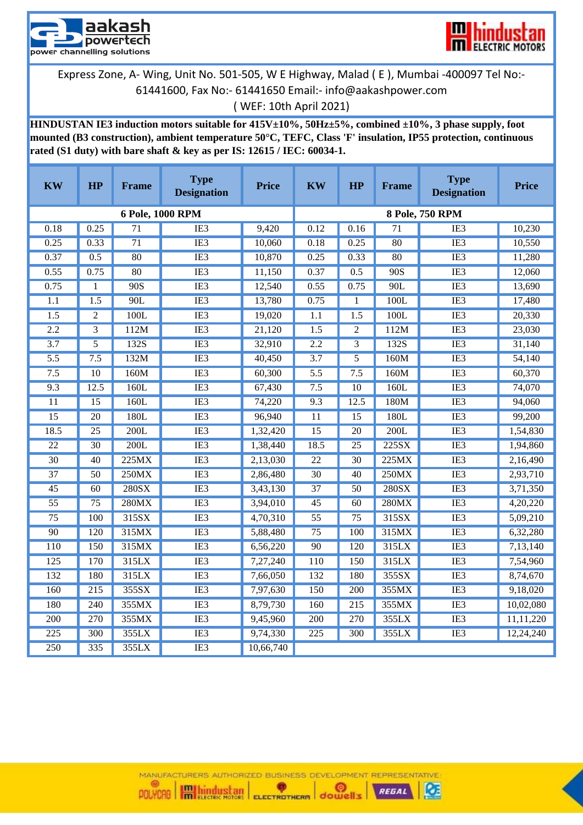



( WEF: 10th April 2021)

**HINDUSTAN IE3 induction motors suitable for 415V±10%, 50Hz±5%, combined ±10%, 3 phase supply, foot mounted (B3 construction), ambient temperature 50°C, TEFC, Class 'F' insulation, IP55 protection, continuous rated (S1 duty) with bare shaft & key as per IS: 12615 / IEC: 60034-1.**

| <b>KW</b>        | HP               | <b>Frame</b>     | <b>Type</b><br><b>Designation</b> | <b>Price</b> | <b>KW</b>        | HP               | <b>Frame</b>    | <b>Type</b><br><b>Designation</b> | <b>Price</b> |
|------------------|------------------|------------------|-----------------------------------|--------------|------------------|------------------|-----------------|-----------------------------------|--------------|
|                  |                  | 6 Pole, 1000 RPM |                                   |              |                  |                  |                 | 8 Pole, 750 RPM                   |              |
| 0.18             | 0.25             | $\overline{71}$  | IE3                               | 9,420        | 0.12             | 0.16             | $\overline{71}$ | IE3                               | 10,230       |
| 0.25             | 0.33             | $\overline{71}$  | IE3                               | 10,060       | 0.18             | 0.25             | 80              | IE3                               | 10,550       |
| 0.37             | 0.5              | 80               | IE3                               | 10,870       | 0.25             | 0.33             | 80              | IE3                               | 11,280       |
| 0.55             | 0.75             | 80               | IE3                               | 11,150       | 0.37             | 0.5              | 90S             | IE3                               | 12,060       |
| 0.75             | 1                | 90S              | IE3                               | 12,540       | 0.55             | 0.75             | 90L             | IE3                               | 13,690       |
| 1.1              | $\overline{1.5}$ | 90L              | $\overline{IE3}$                  | 13,780       | 0.75             | 1                | 100L            | IE3                               | 17,480       |
| 1.5              | $\overline{2}$   | 100L             | IE3                               | 19,020       | $\overline{1.1}$ | $\overline{1.5}$ | 100L            | IE3                               | 20,330       |
| 2.2              | $\overline{3}$   | 112M             | IE3                               | 21,120       | 1.5              | $\mathfrak{2}$   | 112M            | IE3                               | 23,030       |
| 3.7              | $\overline{5}$   | 132S             | IE3                               | 32,910       | 2.2              | $\overline{3}$   | 132S            | IE3                               | 31,140       |
| $\overline{5.5}$ | 7.5              | 132M             | IE3                               | 40,450       | $\overline{3.7}$ | 5                | 160M            | IE3                               | 54,140       |
| 7.5              | $\overline{10}$  | 160M             | IE3                               | 60,300       | $\overline{5.5}$ | 7.5              | 160M            | IE3                               | 60,370       |
| 9.3              | 12.5             | 160L             | IE3                               | 67,430       | 7.5              | 10               | 160L            | IE3                               | 74,070       |
| $\overline{11}$  | $\overline{15}$  | 160L             | IE3                               | 74,220       | 9.3              | 12.5             | 180M            | IE3                               | 94,060       |
| $\overline{15}$  | $\overline{20}$  | 180L             | IE <sub>3</sub>                   | 96,940       | $\overline{11}$  | 15               | 180L            | IE <sub>3</sub>                   | 99,200       |
| 18.5             | 25               | 200L             | IE3                               | 1,32,420     | $\overline{15}$  | 20               | 200L            | IE <sub>3</sub>                   | 1,54,830     |
| $\overline{22}$  | $\overline{30}$  | 200L             | $\overline{IB3}$                  | 1,38,440     | 18.5             | $\overline{25}$  | 225SX           | IE3                               | 1,94,860     |
| $\overline{30}$  | 40               | 225MX            | IE3                               | 2,13,030     | $\overline{22}$  | $\overline{30}$  | 225MX           | IE3                               | 2,16,490     |
| $\overline{37}$  | $\overline{50}$  | 250MX            | IE <sub>3</sub>                   | 2,86,480     | $\overline{30}$  | 40               | 250MX           | IE <sub>3</sub>                   | 2,93,710     |
| $\overline{45}$  | 60               | 280SX            | IE <sub>3</sub>                   | 3,43,130     | $\overline{37}$  | 50               | 280SX           | IE <sub>3</sub>                   | 3,71,350     |
| $\overline{55}$  | 75               | 280MX            | IE3                               | 3,94,010     | $\overline{45}$  | 60               | 280MX           | IE3                               | 4,20,220     |
| $\overline{75}$  | 100              | 315SX            | IE <sub>3</sub>                   | 4,70,310     | $\overline{55}$  | $\overline{75}$  | 315SX           | IE3                               | 5,09,210     |
| 90               | 120              | 315MX            | IE3                               | 5,88,480     | $\overline{75}$  | 100              | 315MX           | IE3                               | 6,32,280     |
| 110              | 150              | 315MX            | IE <sub>3</sub>                   | 6,56,220     | 90               | 120              | 315LX           | IE3                               | 7,13,140     |
| $\overline{125}$ | 170              | 315LX            | IE3                               | 7,27,240     | 110              | 150              | 315LX           | IE3                               | 7,54,960     |
| 132              | 180              | 315LX            | IE3                               | 7,66,050     | 132              | 180              | 355SX           | IE3                               | 8,74,670     |
| 160              | $\overline{215}$ | 355SX            | $\overline{IE3}$                  | 7,97,630     | 150              | 200              | 355MX           | $\overline{IE3}$                  | 9,18,020     |
| 180              | 240              | 355MX            | IE3                               | 8,79,730     | 160              | $\overline{215}$ | 355MX           | IE3                               | 10,02,080    |
| 200              | 270              | 355MX            | IE3                               | 9,45,960     | 200              | 270              | 355LX           | IE <sub>3</sub>                   | 11,11,220    |
| $\overline{225}$ | 300              | 355LX            | IE <sub>3</sub>                   | 9,74,330     | 225              | 300              | 355LX           | IE <sub>3</sub>                   | 12,24,240    |
| 250              | 335              | 355LX            | $\overline{IE3}$                  | 10,66,740    |                  |                  |                 |                                   |              |

MANUFACTURERS AUTHORIZED BUSINESS DEVELOPMENT REPRESENTATIVE (G) POLYCAB **IM hindustan** ELECTROTHERM dowell's

REGAL

Ø

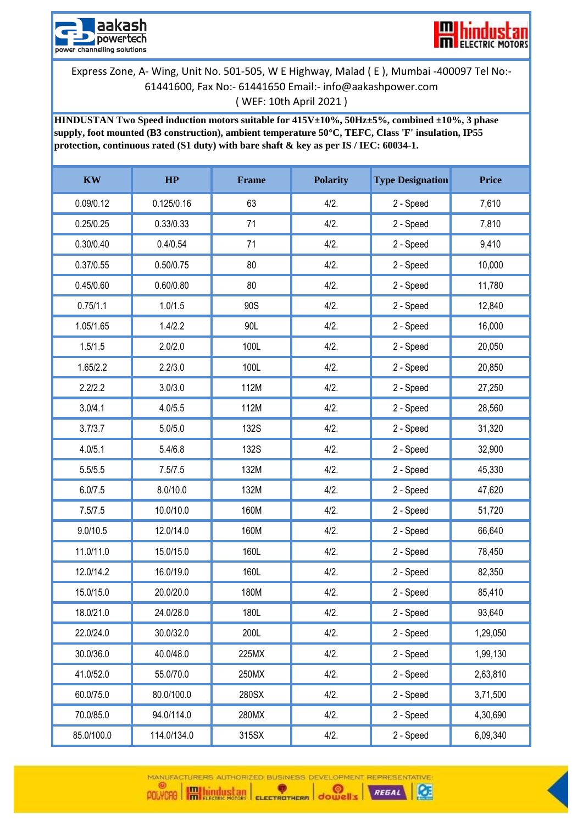



**HINDUSTAN Two Speed induction motors suitable for 415V±10%, 50Hz±5%, combined ±10%, 3 phase supply, foot mounted (B3 construction), ambient temperature 50°C, TEFC, Class 'F' insulation, IP55 protection, continuous rated (S1 duty) with bare shaft & key as per IS / IEC: 60034-1.**

| <b>KW</b>  | HP          | <b>Frame</b> | <b>Polarity</b> | <b>Type Designation</b> | <b>Price</b> |
|------------|-------------|--------------|-----------------|-------------------------|--------------|
| 0.09/0.12  | 0.125/0.16  | 63           | 4/2.            | 2 - Speed               | 7,610        |
| 0.25/0.25  | 0.33/0.33   | 71           | 4/2.            | 2 - Speed               | 7,810        |
| 0.30/0.40  | 0.4/0.54    | 71           | 4/2.            | 2 - Speed               | 9,410        |
| 0.37/0.55  | 0.50/0.75   | 80           | 4/2.            | 2 - Speed               | 10,000       |
| 0.45/0.60  | 0.60/0.80   | 80           | $4/2$ .         | 2 - Speed               | 11,780       |
| 0.75/1.1   | 1.0/1.5     | 90S          | 4/2.            | 2 - Speed               | 12,840       |
| 1.05/1.65  | 1.4/2.2     | 90L          | 4/2.            | 2 - Speed               | 16,000       |
| 1.5/1.5    | 2.0/2.0     | 100L         | 4/2.            | 2 - Speed               | 20,050       |
| 1.65/2.2   | 2.2/3.0     | 100L         | 4/2.            | 2 - Speed               | 20,850       |
| 2.2/2.2    | 3.0/3.0     | 112M         | 4/2.            | 2 - Speed               | 27,250       |
| 3.0/4.1    | 4.0/5.5     | 112M         | 4/2.            | 2 - Speed               | 28,560       |
| 3.7/3.7    | 5.0/5.0     | <b>132S</b>  | 4/2.            | 2 - Speed               | 31,320       |
| 4.0/5.1    | 5.4/6.8     | <b>132S</b>  | 4/2.            | 2 - Speed               | 32,900       |
| 5.5/5.5    | 7.5/7.5     | 132M         | 4/2.            | 2 - Speed               | 45,330       |
| 6.0/7.5    | 8.0/10.0    | 132M         | 4/2.            | 2 - Speed               | 47,620       |
| 7.5/7.5    | 10.0/10.0   | 160M         | 4/2.            | 2 - Speed               | 51,720       |
| 9.0/10.5   | 12.0/14.0   | 160M         | 4/2.            | 2 - Speed               | 66,640       |
| 11.0/11.0  | 15.0/15.0   | 160L         | 4/2.            | 2 - Speed               | 78,450       |
| 12.0/14.2  | 16.0/19.0   | 160L         | 4/2.            | 2 - Speed               | 82,350       |
| 15.0/15.0  | 20.0/20.0   | 180M         | 4/2.            | 2 - Speed               | 85,410       |
| 18.0/21.0  | 24.0/28.0   | 180L         | 4/2.            | 2 - Speed               | 93,640       |
| 22.0/24.0  | 30.0/32.0   | 200L         | 4/2.            | 2 - Speed               | 1,29,050     |
| 30.0/36.0  | 40.0/48.0   | 225MX        | 4/2.            | 2 - Speed               | 1,99,130     |
| 41.0/52.0  | 55.0/70.0   | 250MX        | 4/2.            | 2 - Speed               | 2,63,810     |
| 60.0/75.0  | 80.0/100.0  | 280SX        | 4/2.            | 2 - Speed               | 3,71,500     |
| 70.0/85.0  | 94.0/114.0  | 280MX        | 4/2.            | 2 - Speed               | 4,30,690     |
| 85.0/100.0 | 114.0/134.0 | 315SX        | 4/2.            | 2 - Speed               | 6,09,340     |

MANUFACTURERS AUTHORIZED BUSINESS DEVELOPMENT REPRESENTATIVE  $\bullet$ 

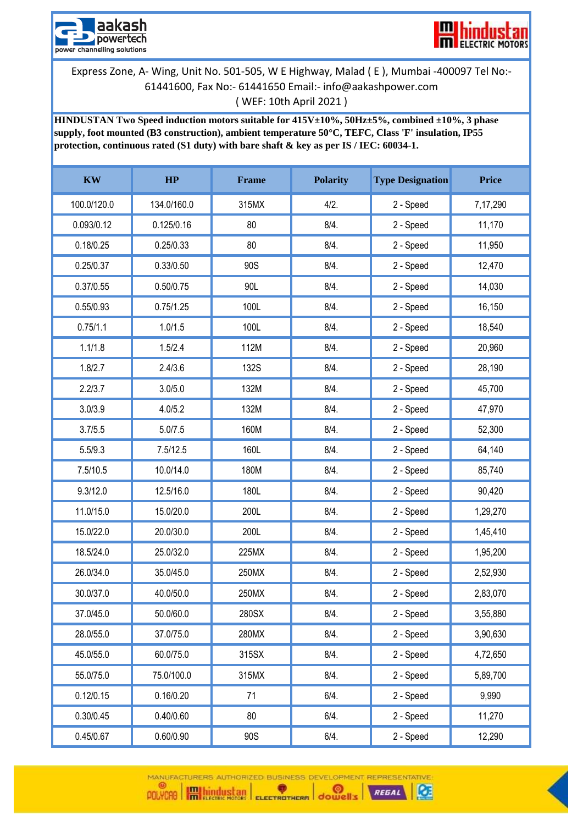



**HINDUSTAN Two Speed induction motors suitable for 415V±10%, 50Hz±5%, combined ±10%, 3 phase supply, foot mounted (B3 construction), ambient temperature 50°C, TEFC, Class 'F' insulation, IP55 protection, continuous rated (S1 duty) with bare shaft & key as per IS / IEC: 60034-1.**

| $\mathbf{K}\mathbf{W}$ | HP          | Frame       | <b>Polarity</b> | <b>Type Designation</b> | <b>Price</b> |
|------------------------|-------------|-------------|-----------------|-------------------------|--------------|
| 100.0/120.0            | 134.0/160.0 | 315MX       | $4/2$ .         | 2 - Speed               | 7,17,290     |
| 0.093/0.12             | 0.125/0.16  | 80          | 8/4.            | 2 - Speed               | 11,170       |
| 0.18/0.25              | 0.25/0.33   | 80          | 8/4.            | 2 - Speed               | 11,950       |
| 0.25/0.37              | 0.33/0.50   | 90S         | 8/4.            | 2 - Speed               | 12,470       |
| 0.37/0.55              | 0.50/0.75   | 90L         | 8/4.            | 2 - Speed               | 14,030       |
| 0.55/0.93              | 0.75/1.25   | 100L        | 8/4.            | 2 - Speed               | 16,150       |
| 0.75/1.1               | 1.0/1.5     | 100L        | 8/4.            | 2 - Speed               | 18,540       |
| 1.1/1.8                | 1.5/2.4     | 112M        | 8/4.            | 2 - Speed               | 20,960       |
| 1.8/2.7                | 2.4/3.6     | <b>132S</b> | 8/4.            | 2 - Speed               | 28,190       |
| 2.2/3.7                | 3.0/5.0     | 132M        | 8/4.            | 2 - Speed               | 45,700       |
| 3.0/3.9                | 4.0/5.2     | 132M        | 8/4.            | 2 - Speed               | 47,970       |
| 3.7/5.5                | 5.0/7.5     | 160M        | 8/4.            | 2 - Speed               | 52,300       |
| 5.5/9.3                | 7.5/12.5    | 160L        | 8/4.            | 2 - Speed               | 64,140       |
| 7.5/10.5               | 10.0/14.0   | 180M        | 8/4.            | 2 - Speed               | 85,740       |
| 9.3/12.0               | 12.5/16.0   | 180L        | 8/4.            | 2 - Speed               | 90,420       |
| 11.0/15.0              | 15.0/20.0   | 200L        | 8/4.            | 2 - Speed               | 1,29,270     |
| 15.0/22.0              | 20.0/30.0   | 200L        | 8/4.            | 2 - Speed               | 1,45,410     |
| 18.5/24.0              | 25.0/32.0   | 225MX       | 8/4.            | 2 - Speed               | 1,95,200     |
| 26.0/34.0              | 35.0/45.0   | 250MX       | 8/4.            | 2 - Speed               | 2,52,930     |
| 30.0/37.0              | 40.0/50.0   | 250MX       | 8/4.            | 2 - Speed               | 2,83,070     |
| 37.0/45.0              | 50.0/60.0   | 280SX       | 8/4.            | 2 - Speed               | 3,55,880     |
| 28.0/55.0              | 37.0/75.0   | 280MX       | 8/4.            | 2 - Speed               | 3,90,630     |
| 45.0/55.0              | 60.0/75.0   | 315SX       | 8/4.            | 2 - Speed               | 4,72,650     |
| 55.0/75.0              | 75.0/100.0  | 315MX       | 8/4.            | 2 - Speed               | 5,89,700     |
| 0.12/0.15              | 0.16/0.20   | 71          | 6/4.            | 2 - Speed               | 9,990        |
| 0.30/0.45              | 0.40/0.60   | 80          | 6/4.            | 2 - Speed               | 11,270       |
| 0.45/0.67              | 0.60/0.90   | 90S         | 6/4.            | 2 - Speed               | 12,290       |

MANUFACTURERS AUTHORIZED BUSINESS DEVELOPMENT REPRESENTATIVE  $\bullet$ 

 $\alpha$ 

REGAL

POLYCAO **Highland School ELECTROTHERM** dowell's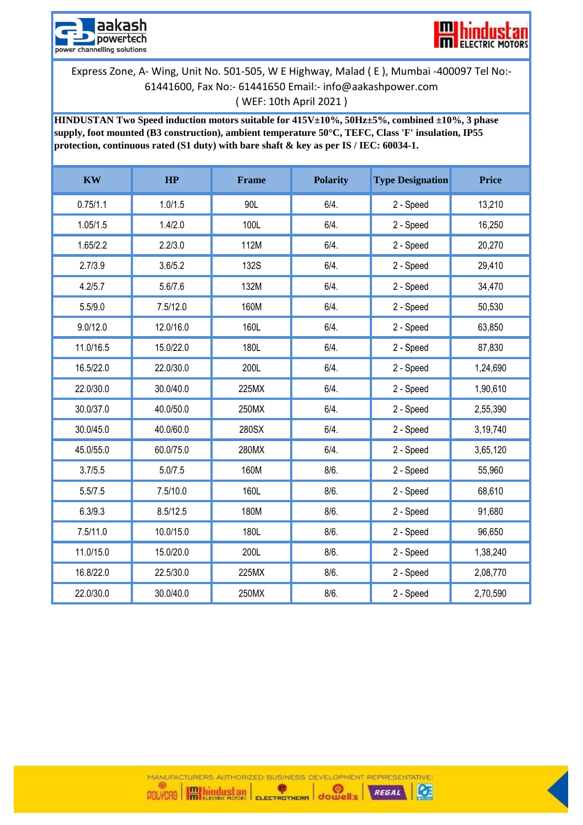



**HINDUSTAN Two Speed induction motors suitable for 415V±10%, 50Hz±5%, combined ±10%, 3 phase supply, foot mounted (B3 construction), ambient temperature 50°C, TEFC, Class 'F' insulation, IP55 protection, continuous rated (S1 duty) with bare shaft & key as per IS / IEC: 60034-1.**

| $\mathbf{K}\mathbf{W}$ | HP        | <b>Frame</b> | <b>Polarity</b> | <b>Type Designation</b> | <b>Price</b> |
|------------------------|-----------|--------------|-----------------|-------------------------|--------------|
| 0.75/1.1               | 1.0/1.5   | 90L          | 6/4.            | 2 - Speed               | 13,210       |
| 1.05/1.5               | 1.4/2.0   | 100L         | 6/4.            | 2 - Speed               | 16,250       |
| 1.65/2.2               | 2.2/3.0   | 112M         | 6/4.            | 2 - Speed               | 20,270       |
| 2.7/3.9                | 3.6/5.2   | <b>132S</b>  | 6/4.            | 2 - Speed               | 29,410       |
| 4.2/5.7                | 5.6/7.6   | 132M         | 6/4.            | 2 - Speed               | 34,470       |
| 5.5/9.0                | 7.5/12.0  | 160M         | 6/4.            | 2 - Speed               | 50,530       |
| 9.0/12.0               | 12.0/16.0 | 160L         | 6/4.            | 2 - Speed               | 63,850       |
| 11.0/16.5              | 15.0/22.0 | 180L         | 6/4.            | 2 - Speed               | 87,830       |
| 16.5/22.0              | 22.0/30.0 | 200L         | 6/4.            | 2 - Speed               | 1,24,690     |
| 22.0/30.0              | 30.0/40.0 | 225MX        | 6/4.            | 2 - Speed               | 1,90,610     |
| 30.0/37.0              | 40.0/50.0 | 250MX        | 6/4.            | 2 - Speed               | 2,55,390     |
| 30.0/45.0              | 40.0/60.0 | 280SX        | 6/4.            | 2 - Speed               | 3,19,740     |
| 45.0/55.0              | 60.0/75.0 | 280MX        | 6/4.            | 2 - Speed               | 3,65,120     |
| 3.7/5.5                | 5.0/7.5   | 160M         | 8/6.            | 2 - Speed               | 55,960       |
| 5.5/7.5                | 7.5/10.0  | 160L         | 8/6.            | 2 - Speed               | 68,610       |
| 6.3/9.3                | 8.5/12.5  | 180M         | 8/6.            | 2 - Speed               | 91,680       |
| 7.5/11.0               | 10.0/15.0 | 180L         | 8/6.            | 2 - Speed               | 96,650       |
| 11.0/15.0              | 15.0/20.0 | 200L         | 8/6.            | 2 - Speed               | 1,38,240     |
| 16.8/22.0              | 22.5/30.0 | 225MX        | 8/6.            | 2 - Speed               | 2,08,770     |
| 22.0/30.0              | 30.0/40.0 | 250MX        | 8/6.            | 2 - Speed               | 2,70,590     |

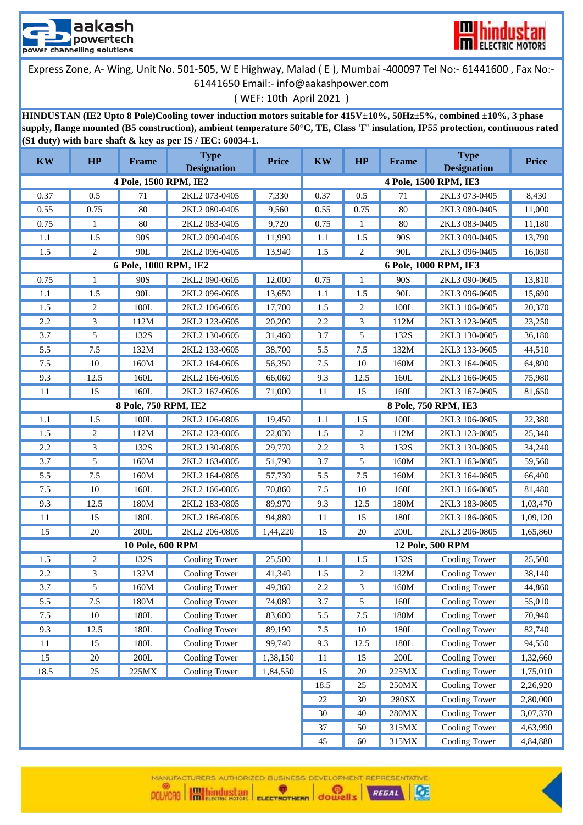



( WEF: 10th April 2021 )

**HINDUSTAN (IE2 Upto 8 Pole)Cooling tower induction motors suitable for 415V±10%, 50Hz±5%, combined ±10%, 3 phase supply, flange mounted (B5 construction), ambient temperature 50°C, TE, Class 'F' insulation, IP55 protection, continuous rated (S1 duty) with bare shaft & key as per IS / IEC: 60034-1.**

| <b>KW</b> | HP             | Frame                   | <b>Type</b><br><b>Designation</b> | <b>Price</b> | <b>KW</b>        | HP           | <b>Frame</b>    | <b>Type</b><br><b>Designation</b> | <b>Price</b> |
|-----------|----------------|-------------------------|-----------------------------------|--------------|------------------|--------------|-----------------|-----------------------------------|--------------|
|           |                | 4 Pole, 1500 RPM, IE2   |                                   |              |                  |              |                 | 4 Pole, 1500 RPM, IE3             |              |
| 0.37      | 0.5            | 71                      | 2KL2 073-0405                     | 7,330        | 0.37             | 0.5          | 71              | 2KL3 073-0405                     | 8,430        |
| 0.55      | 0.75           | 80                      | 2KL2 080-0405                     | 9,560        | 0.55             | 0.75         | 80              | 2KL3 080-0405                     | 11,000       |
| 0.75      | $\mathbf{1}$   | 80                      | 2KL2 083-0405                     | 9,720        | 0.75             | $\mathbf{1}$ | 80              | 2KL3 083-0405                     | 11,180       |
| 1.1       | 1.5            | 90S                     | 2KL2 090-0405                     | 11,990       | 1.1              | 1.5          | 90S             | 2KL3 090-0405                     | 13,790       |
| 1.5       | 2              | 90L                     | 2KL2 096-0405                     | 13,940       | 1.5              | 2            | 90L             | 2KL3 096-0405                     | 16,030       |
|           |                | 6 Pole, 1000 RPM, IE2   |                                   |              |                  |              |                 | 6 Pole, 1000 RPM, IE3             |              |
| 0.75      | 1              | 90S                     | 2KL2 090-0605                     | 12,000       | 0.75             | 1            | 90S             | 2KL3 090-0605                     | 13,810       |
| 1.1       | 1.5            | 90L                     | 2KL2 096-0605                     | 13,650       | 1.1              | 1.5          | 90L             | 2KL3 096-0605                     | 15,690       |
| 1.5       | 2              | 100L                    | 2KL2 106-0605                     | 17,700       | 1.5              | 2            | 100L            | 2KL3 106-0605                     | 20,370       |
| 2.2       | $\mathfrak{Z}$ | 112M                    | 2KL2 123-0605                     | 20,200       | 2.2              | 3            | 112M            | 2KL3 123-0605                     | 23,250       |
| 3.7       | 5              | 132S                    | 2KL2 130-0605                     | 31,460       | 3.7              | 5            | 132S            | 2KL3 130-0605                     | 36,180       |
| 5.5       | 7.5            | 132M                    | 2KL2 133-0605                     | 38,700       | 5.5              | 7.5          | 132M            | 2KL3 133-0605                     | 44,510       |
| 7.5       | 10             | 160M                    | 2KL2 164-0605                     | 56,350       | 7.5              | 10           | 160M            | 2KL3 164-0605                     | 64,800       |
| 9.3       | 12.5           | 160L                    | 2KL2 166-0605                     | 66,060       | 9.3              | 12.5         | 160L            | 2KL3 166-0605                     | 75,980       |
| 11        | 15             | 160L                    | 2KL2 167-0605                     | 71,000       | 11               | 15           | 160L            | 2KL3 167-0605                     | 81,650       |
|           |                | 8 Pole, 750 RPM, IE2    |                                   |              |                  |              |                 | 8 Pole, 750 RPM, IE3              |              |
| 1.1       | 1.5            | 100L                    | 2KL2 106-0805                     | 19,450       | 1.1              | 1.5          | 100L            | 2KL3 106-0805                     | 22,380       |
| 1.5       | 2              | 112M                    | 2KL2 123-0805                     | 22,030       | 1.5              | 2            | 112M            | 2KL3 123-0805                     | 25,340       |
| 2.2       | 3              | 132S                    | 2KL2 130-0805                     | 29,770       | 2.2              | 3            | 132S            | 2KL3 130-0805                     | 34,240       |
| 3.7       | 5              | 160M                    | 2KL2 163-0805                     | 51,790       | 3.7              | 5            | 160M            | 2KL3 163-0805                     | 59,560       |
| 5.5       | 7.5            | 160M                    | 2KL2 164-0805                     | 57,730       | 5.5              | 7.5          | 160M            | 2KL3 164-0805                     | 66,400       |
| $7.5$     | 10             | 160L                    | 2KL2 166-0805                     | 70,860       | 7.5              | 10           | 160L            | 2KL3 166-0805                     | 81,480       |
| 9.3       | 12.5           | 180M                    | 2KL2 183-0805                     | 89,970       | 9.3              | 12.5         | 180M            | 2KL3 183-0805                     | 1,03,470     |
| 11        | 15             | 180L                    | 2KL2 186-0805                     | 94,880       | 11               | 15           | 180L            | 2KL3 186-0805                     | 1,09,120     |
| 15        | 20             | 200L                    | 2KL2 206-0805                     | 1,44,220     | 15               | 20           | 200L            | 2KL3 206-0805                     | 1,65,860     |
|           |                | <b>10 Pole, 600 RPM</b> |                                   |              | 12 Pole, 500 RPM |              |                 |                                   |              |
| 1.5       | 2              | 132S                    | Cooling Tower                     | 25,500       | 1.1              | 1.5          | 132S            | Cooling Tower                     | 25,500       |
| 2.2       | 3              | 132M                    | Cooling Tower                     | 41,340       | 1.5              | 2            | 132M            | Cooling Tower                     | 38,140       |
| 3.7       | 5              | 160M                    | Cooling Tower                     | 49,360       | 2.2              | 3            | 160M            | Cooling Tower                     | 44,860       |
| 5.5       | 7.5            | 180M                    | Cooling Tower                     | 74,080       | 3.7              | 5            | 160L            | Cooling Tower                     | 55,010       |
| 7.5       | 10             | 180L                    | Cooling Tower                     | 83,600       | 5.5              | 7.5          | 180M            | Cooling Tower                     | 70,940       |
| 9.3       | 12.5           | 180L                    | Cooling Tower                     | 89,190       | $7.5\,$          | $10\,$       | $180\mathrm{L}$ | Cooling Tower                     | 82,740       |
| 11        | 15             | $180\mathrm{L}$         | Cooling Tower                     | 99,740       | 9.3              | 12.5         | $180\mathrm{L}$ | Cooling Tower                     | 94,550       |
| 15        | 20             | $200L$                  | Cooling Tower                     | 1,38,150     | 11               | 15           | $200L$          | Cooling Tower                     | 1,32,660     |
| 18.5      | 25             | 225MX                   | Cooling Tower                     | 1,84,550     | 15               | $20\,$       | 225MX           | Cooling Tower                     | 1,75,010     |
|           |                |                         |                                   |              | 18.5             | 25           | 250MX           | Cooling Tower                     | 2,26,920     |
|           |                |                         |                                   |              |                  | 30           | $280{\rm SX}$   | Cooling Tower                     | 2,80,000     |
|           |                |                         |                                   |              | 30               | 40           | $280\mbox{MX}$  | Cooling Tower                     | 3,07,370     |
|           |                |                         |                                   |              | 37               | 50           | 315MX           | Cooling Tower                     | 4,63,990     |
|           |                |                         |                                   |              |                  | $60\,$       | 315MX           | Cooling Tower                     | 4,84,880     |

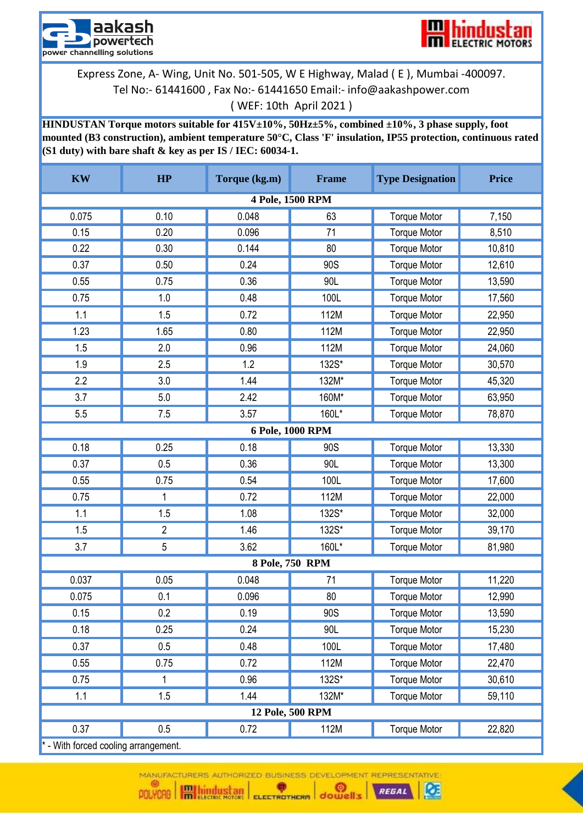



**HINDUSTAN Torque motors suitable for 415V±10%, 50Hz±5%, combined ±10%, 3 phase supply, foot mounted (B3 construction), ambient temperature 50°C, Class 'F' insulation, IP55 protection, continuous rated (S1 duty) with bare shaft & key as per IS / IEC: 60034-1.**

| <b>KW</b>                          | HP             | Torque (kg.m) | Frame            | <b>Type Designation</b> | <b>Price</b> |  |  |  |
|------------------------------------|----------------|---------------|------------------|-------------------------|--------------|--|--|--|
|                                    |                |               | 4 Pole, 1500 RPM |                         |              |  |  |  |
| 0.075                              | 0.10           | 0.048         | 63               | <b>Torque Motor</b>     | 7,150        |  |  |  |
| 0.15                               | 0.20           | 0.096         | 71               | <b>Torque Motor</b>     | 8,510        |  |  |  |
| 0.22                               | 0.30           | 0.144         | 80               | <b>Torque Motor</b>     | 10,810       |  |  |  |
| 0.37                               | 0.50           | 0.24          | 90S              | <b>Torque Motor</b>     | 12,610       |  |  |  |
| 0.55                               | 0.75           | 0.36          | 90L              | <b>Torque Motor</b>     | 13,590       |  |  |  |
| 0.75                               | 1.0            | 0.48          | 100L             | <b>Torque Motor</b>     | 17,560       |  |  |  |
| 1.1                                | 1.5            | 0.72          | 112M             | <b>Torque Motor</b>     | 22,950       |  |  |  |
| 1.23                               | 1.65           | 0.80          | 112M             | <b>Torque Motor</b>     | 22,950       |  |  |  |
| 1.5                                | 2.0            | 0.96          | 112M             | <b>Torque Motor</b>     | 24,060       |  |  |  |
| 1.9                                | 2.5            | 1.2           | 132S*            | <b>Torque Motor</b>     | 30,570       |  |  |  |
| 2.2                                | 3.0            | 1.44          | 132M*            | <b>Torque Motor</b>     | 45,320       |  |  |  |
| 3.7                                | 5.0            | 2.42          | 160M*            | <b>Torque Motor</b>     | 63,950       |  |  |  |
| 5.5                                | 7.5            | 3.57          | 160L*            | <b>Torque Motor</b>     | 78,870       |  |  |  |
| 6 Pole, 1000 RPM                   |                |               |                  |                         |              |  |  |  |
| 0.18                               | 0.25           | 0.18          | 90S              | <b>Torque Motor</b>     | 13,330       |  |  |  |
| 0.37                               | 0.5            | 0.36          | 90L              | <b>Torque Motor</b>     | 13,300       |  |  |  |
| 0.55                               | 0.75           | 0.54          | 100L             | <b>Torque Motor</b>     | 17,600       |  |  |  |
| 0.75                               | 1              | 0.72          | 112M             | <b>Torque Motor</b>     | 22,000       |  |  |  |
| 1.1                                | 1.5            | 1.08          | 132S*            | <b>Torque Motor</b>     | 32,000       |  |  |  |
| 1.5                                | $\overline{2}$ | 1.46          | 132S*            | <b>Torque Motor</b>     | 39,170       |  |  |  |
| 3.7                                | 5              | 3.62          | 160L*            | <b>Torque Motor</b>     | 81,980       |  |  |  |
|                                    |                |               | 8 Pole, 750 RPM  |                         |              |  |  |  |
| 0.037                              | 0.05           | 0.048         | 71               | <b>Torque Motor</b>     | 11,220       |  |  |  |
| 0.075                              | 0.1            | 0.096         | 80               | <b>Torque Motor</b>     | 12,990       |  |  |  |
| 0.15                               | 0.2            | 0.19          | 90S              | <b>Torque Motor</b>     | 13,590       |  |  |  |
| 0.18                               | 0.25           | 0.24          | 90L              | <b>Torque Motor</b>     | 15,230       |  |  |  |
| 0.37                               | 0.5            | 0.48          | 100L             | <b>Torque Motor</b>     | 17,480       |  |  |  |
| 0.55                               | 0.75           | 0.72          | 112M             | <b>Torque Motor</b>     | 22,470       |  |  |  |
| 0.75                               | 1              | 0.96          | 132S*            | <b>Torque Motor</b>     | 30,610       |  |  |  |
| 1.1                                | 1.5            | 1.44          | 132M*            | <b>Torque Motor</b>     | 59,110       |  |  |  |
| 12 Pole, 500 RPM                   |                |               |                  |                         |              |  |  |  |
| 0.37                               | 0.5            | 0.72          | 112M             | <b>Torque Motor</b>     | 22,820       |  |  |  |
| - With forced cooling arrangement. |                |               |                  |                         |              |  |  |  |

MANUFACTURERS AUTHORIZED BUSINESS DEVELOPMENT REPRESENTATIVE

Œ

REGAL

(G)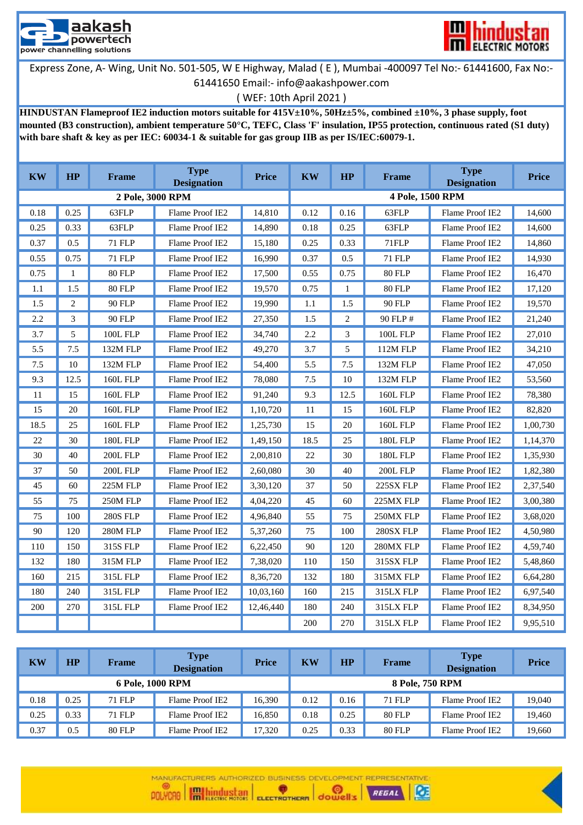



( WEF: 10th April 2021 )

**HINDUSTAN Flameproof IE2 induction motors suitable for 415V±10%, 50Hz±5%, combined ±10%, 3 phase supply, foot mounted (B3 construction), ambient temperature 50°C, TEFC, Class 'F' insulation, IP55 protection, continuous rated (S1 duty) with bare shaft & key as per IEC: 60034-1 & suitable for gas group IIB as per IS/IEC:60079-1.**

| <b>KW</b> | <b>HP</b>      | <b>Frame</b>     | <b>Type</b><br><b>Designation</b> | <b>Price</b> | <b>KW</b> | <b>HP</b> | <b>Frame</b>     | <b>Type</b><br><b>Designation</b> | <b>Price</b> |
|-----------|----------------|------------------|-----------------------------------|--------------|-----------|-----------|------------------|-----------------------------------|--------------|
|           |                | 2 Pole, 3000 RPM |                                   |              |           |           | 4 Pole, 1500 RPM |                                   |              |
| 0.18      | 0.25           | 63FLP            | Flame Proof IE2                   | 14.810       | 0.12      | 0.16      | 63FLP            | Flame Proof IE2                   | 14.600       |
| 0.25      | 0.33           | 63FLP            | Flame Proof IE2                   | 14.890       | 0.18      | 0.25      | 63FLP            | Flame Proof IE2                   | 14.600       |
| 0.37      | 0.5            | <b>71 FLP</b>    | Flame Proof IE2                   | 15,180       | 0.25      | 0.33      | 71FLP            | Flame Proof IE2                   | 14,860       |
| 0.55      | 0.75           | <b>71 FLP</b>    | Flame Proof IE2                   | 16,990       | 0.37      | 0.5       | <b>71 FLP</b>    | Flame Proof IE2                   | 14,930       |
| 0.75      | $\mathbf{1}$   | <b>80 FLP</b>    | Flame Proof IE2                   | 17,500       | 0.55      | 0.75      | <b>80 FLP</b>    | Flame Proof IE2                   | 16,470       |
| 1.1       | 1.5            | <b>80 FLP</b>    | Flame Proof IE2                   | 19.570       | 0.75      | 1         | <b>80 FLP</b>    | Flame Proof IE2                   | 17,120       |
| 1.5       | $\overline{2}$ | 90 FLP           | Flame Proof IE2                   | 19,990       | 1.1       | 1.5       | 90 FLP           | Flame Proof IE2                   | 19,570       |
| 2.2       | 3              | 90 FLP           | Flame Proof IE2                   | 27,350       | 1.5       | 2         | 90 FLP #         | Flame Proof IE2                   | 21,240       |
| 3.7       | 5              | <b>100L FLP</b>  | Flame Proof IE2                   | 34,740       | 2.2       | 3         | <b>100L FLP</b>  | Flame Proof IE2                   | 27,010       |
| 5.5       | 7.5            | 132M FLP         | Flame Proof IE2                   | 49.270       | 3.7       | 5         | 112M FLP         | Flame Proof IE2                   | 34,210       |
| 7.5       | 10             | 132M FLP         | Flame Proof IE2                   | 54,400       | 5.5       | 7.5       | 132M FLP         | Flame Proof IE2                   | 47,050       |
| 9.3       | 12.5           | <b>160L FLP</b>  | Flame Proof IE2                   | 78,080       | 7.5       | 10        | 132M FLP         | Flame Proof IE2                   | 53,560       |
| 11        | 15             | <b>160L FLP</b>  | Flame Proof IE2                   | 91.240       | 9.3       | 12.5      | <b>160L FLP</b>  | Flame Proof IE2                   | 78,380       |
| 15        | 20             | <b>160L FLP</b>  | Flame Proof IE2                   | 1,10,720     | 11        | 15        | <b>160L FLP</b>  | Flame Proof IE2                   | 82,820       |
| 18.5      | 25             | <b>160L FLP</b>  | Flame Proof IE2                   | 1,25,730     | 15        | 20        | <b>160L FLP</b>  | Flame Proof IE2                   | 1,00,730     |
| 22        | 30             | <b>180L FLP</b>  | Flame Proof IE2                   | 1,49,150     | 18.5      | 25        | <b>180L FLP</b>  | Flame Proof IE2                   | 1,14,370     |
| 30        | 40             | <b>200L FLP</b>  | Flame Proof IE2                   | 2,00,810     | 22        | 30        | <b>180L FLP</b>  | Flame Proof IE2                   | 1,35,930     |
| 37        | 50             | <b>200L FLP</b>  | Flame Proof IE2                   | 2,60,080     | 30        | 40        | <b>200L FLP</b>  | Flame Proof IE2                   | 1,82,380     |
| 45        | 60             | 225M FLP         | Flame Proof IE2                   | 3,30,120     | 37        | 50        | 225SX FLP        | Flame Proof IE2                   | 2,37,540     |
| 55        | 75             | <b>250M FLP</b>  | Flame Proof IE2                   | 4,04,220     | 45        | 60        | 225MX FLP        | Flame Proof IE2                   | 3,00,380     |
| 75        | 100            | <b>280S FLP</b>  | Flame Proof IE2                   | 4,96,840     | 55        | 75        | 250MX FLP        | Flame Proof IE2                   | 3,68,020     |
| 90        | 120            | 280M FLP         | Flame Proof IE2                   | 5,37,260     | 75        | 100       | 280SX FLP        | Flame Proof IE2                   | 4,50,980     |
| 110       | 150            | 315S FLP         | Flame Proof IE2                   | 6,22,450     | 90        | 120       | 280MX FLP        | Flame Proof IE2                   | 4,59,740     |
| 132       | 180            | 315M FLP         | Flame Proof IE2                   | 7,38,020     | 110       | 150       | <b>315SX FLP</b> | Flame Proof IE2                   | 5,48,860     |
| 160       | 215            | 315L FLP         | Flame Proof IE2                   | 8,36,720     | 132       | 180       | 315MX FLP        | Flame Proof IE2                   | 6,64,280     |
| 180       | 240            | 315L FLP         | Flame Proof IE2                   | 10,03,160    | 160       | 215       | 315LX FLP        | Flame Proof IE2                   | 6,97,540     |
| 200       | 270            | 315L FLP         | Flame Proof IE2                   | 12,46,440    | 180       | 240       | 315LX FLP        | Flame Proof IE2                   | 8,34,950     |
|           |                |                  |                                   |              | 200       | 270       | 315LX FLP        | Flame Proof IE2                   | 9,95,510     |

| KW               | HP      | <b>Frame</b>  | <b>Type</b><br><b>Designation</b> | <b>Price</b> | <b>KW</b> | <b>HP</b> | <b>Frame</b>    | <b>Type</b><br><b>Designation</b> | <b>Price</b> |
|------------------|---------|---------------|-----------------------------------|--------------|-----------|-----------|-----------------|-----------------------------------|--------------|
| 6 Pole, 1000 RPM |         |               |                                   |              |           |           | 8 Pole, 750 RPM |                                   |              |
| 0.18             | 0.25    | 71 FLP        | Flame Proof IE2                   | 16,390       | 0.12      | 0.16      | 71 FLP          | Flame Proof IE2                   | 19,040       |
| 0.25             | 0.33    | 71 FLP        | Flame Proof IE2                   | 16,850       | 0.18      | 0.25      | 80 FLP          | Flame Proof IE2                   | 19,460       |
| 0.37             | $0.5\,$ | <b>80 FLP</b> | Flame Proof IE2                   | 17.320       | 0.25      | 0.33      | 80 FLP          | Flame Proof IE <sub>2</sub>       | 19,660       |

REGAL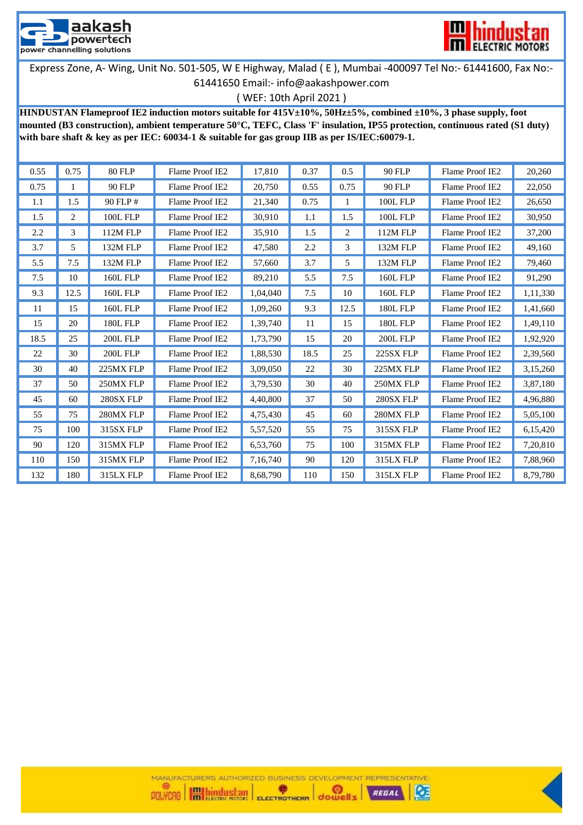



( WEF: 10th April 2021 )

**HINDUSTAN Flameproof IE2 induction motors suitable for 415V±10%, 50Hz±5%, combined ±10%, 3 phase supply, foot mounted (B3 construction), ambient temperature 50°C, TEFC, Class 'F' insulation, IP55 protection, continuous rated (S1 duty) with bare shaft & key as per IEC: 60034-1 & suitable for gas group IIB as per IS/IEC:60079-1.**

| 0.55 | 0.75 | 80 FLP          | Flame Proof IE2 | 17.810   | 0.37 | 0.5  | 90 FLP          | Flame Proof IE2 | 20,260   |
|------|------|-----------------|-----------------|----------|------|------|-----------------|-----------------|----------|
| 0.75 | 1    | <b>90 FLP</b>   | Flame Proof IE2 | 20,750   | 0.55 | 0.75 | 90 FLP          | Flame Proof IE2 | 22,050   |
| 1.1  | 1.5  | 90 FLP #        | Flame Proof IE2 | 21,340   | 0.75 |      | <b>100L FLP</b> | Flame Proof IE2 | 26,650   |
| 1.5  | 2    | <b>100L FLP</b> | Flame Proof IE2 | 30,910   | 1.1  | 1.5  | <b>100L FLP</b> | Flame Proof IE2 | 30,950   |
| 2.2  | 3    | <b>112M FLP</b> | Flame Proof IE2 | 35,910   | 1.5  | 2    | 112M FLP        | Flame Proof IE2 | 37,200   |
| 3.7  | 5    | 132M FLP        | Flame Proof IE2 | 47,580   | 2.2  | 3    | 132M FLP        | Flame Proof IE2 | 49,160   |
| 5.5  | 7.5  | 132M FLP        | Flame Proof IE2 | 57,660   | 3.7  | 5    | 132M FLP        | Flame Proof IE2 | 79,460   |
| 7.5  | 10   | <b>160L FLP</b> | Flame Proof IE2 | 89,210   | 5.5  | 7.5  | <b>160L FLP</b> | Flame Proof IE2 | 91,290   |
| 9.3  | 12.5 | <b>160L FLP</b> | Flame Proof IE2 | 1,04,040 | 7.5  | 10   | <b>160L FLP</b> | Flame Proof IE2 | 1,11,330 |
| 11   | 15   | <b>160L FLP</b> | Flame Proof IE2 | 1,09,260 | 9.3  | 12.5 | <b>180L FLP</b> | Flame Proof IE2 | 1,41,660 |
| 15   | 20   | <b>180L FLP</b> | Flame Proof IE2 | 1,39,740 | 11   | 15   | <b>180L FLP</b> | Flame Proof IE2 | 1,49,110 |
| 18.5 | 25   | 200L FLP        | Flame Proof IE2 | 1,73,790 | 15   | 20   | <b>200L FLP</b> | Flame Proof IE2 | 1,92,920 |
| 22   | 30   | <b>200L FLP</b> | Flame Proof IE2 | 1,88,530 | 18.5 | 25   | 225SX FLP       | Flame Proof IE2 | 2,39,560 |
| 30   | 40   | 225MX FLP       | Flame Proof IE2 | 3,09,050 | 22   | 30   | 225MX FLP       | Flame Proof IE2 | 3,15,260 |
| 37   | 50   | 250MX FLP       | Flame Proof IE2 | 3,79,530 | 30   | 40   | 250MX FLP       | Flame Proof IE2 | 3,87,180 |
| 45   | 60   | 280SX FLP       | Flame Proof IE2 | 4,40,800 | 37   | 50   | 280SX FLP       | Flame Proof IE2 | 4,96,880 |
| 55   | 75   | 280MX FLP       | Flame Proof IE2 | 4,75,430 | 45   | 60   | 280MX FLP       | Flame Proof IE2 | 5,05,100 |
| 75   | 100  | 315SX FLP       | Flame Proof IE2 | 5,57,520 | 55   | 75   | 315SX FLP       | Flame Proof IE2 | 6,15,420 |
| 90   | 120  | 315MX FLP       | Flame Proof IE2 | 6,53,760 | 75   | 100  | 315MX FLP       | Flame Proof IE2 | 7,20,810 |
| 110  | 150  | 315MX FLP       | Flame Proof IE2 | 7,16,740 | 90   | 120  | 315LX FLP       | Flame Proof IE2 | 7,88,960 |
| 132  | 180  | 315LX FLP       | Flame Proof IE2 | 8,68,790 | 110  | 150  | 315LX FLP       | Flame Proof IE2 | 8,79,780 |

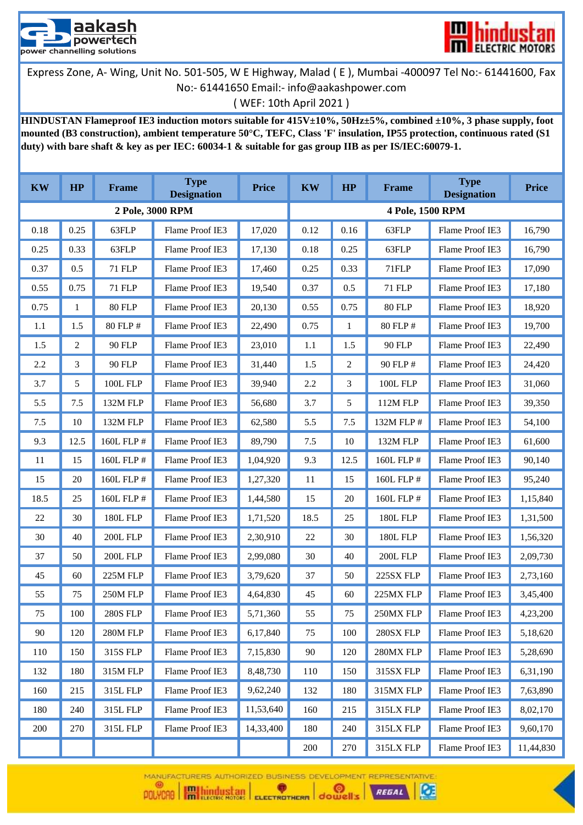



( WEF: 10th April 2021 )

**HINDUSTAN Flameproof IE3 induction motors suitable for 415V±10%, 50Hz±5%, combined ±10%, 3 phase supply, foot mounted (B3 construction), ambient temperature 50°C, TEFC, Class 'F' insulation, IP55 protection, continuous rated (S1 duty) with bare shaft & key as per IEC: 60034-1 & suitable for gas group IIB as per IS/IEC:60079-1.**

| <b>KW</b> | HP   | <b>Frame</b>    | <b>Type</b><br><b>Designation</b> | <b>Price</b> | <b>KW</b> | HP             | <b>Frame</b>     | <b>Type</b><br><b>Designation</b> | <b>Price</b> |
|-----------|------|-----------------|-----------------------------------|--------------|-----------|----------------|------------------|-----------------------------------|--------------|
|           |      |                 | 2 Pole, 3000 RPM                  |              |           |                | 4 Pole, 1500 RPM |                                   |              |
| 0.18      | 0.25 | 63FLP           | Flame Proof IE3                   | 17,020       | 0.12      | 0.16           | 63FLP            | Flame Proof IE3                   | 16,790       |
| 0.25      | 0.33 | 63FLP           | Flame Proof IE3                   | 17,130       | 0.18      | 0.25           | 63FLP            | Flame Proof IE3                   | 16,790       |
| 0.37      | 0.5  | <b>71 FLP</b>   | Flame Proof IE3                   | 17,460       | 0.25      | 0.33           | 71FLP            | Flame Proof IE3                   | 17,090       |
| 0.55      | 0.75 | 71 FLP          | Flame Proof IE3                   | 19,540       | 0.37      | 0.5            | 71 FLP           | Flame Proof IE3                   | 17,180       |
| 0.75      | 1    | <b>80 FLP</b>   | Flame Proof IE3                   | 20,130       | 0.55      | 0.75           | <b>80 FLP</b>    | Flame Proof IE3                   | 18,920       |
| 1.1       | 1.5  | 80 FLP #        | Flame Proof IE3                   | 22,490       | 0.75      | $\mathbf{1}$   | 80 FLP #         | Flame Proof IE3                   | 19,700       |
| 1.5       | 2    | 90 FLP          | Flame Proof IE3                   | 23,010       | 1.1       | 1.5            | 90 FLP           | Flame Proof IE3                   | 22,490       |
| 2.2       | 3    | 90 FLP          | Flame Proof IE3                   | 31,440       | 1.5       | $\overline{2}$ | 90 FLP #         | Flame Proof IE3                   | 24,420       |
| 3.7       | 5    | 100L FLP        | Flame Proof IE3                   | 39,940       | 2.2       | 3              | <b>100L FLP</b>  | Flame Proof IE3                   | 31,060       |
| 5.5       | 7.5  | 132M FLP        | Flame Proof IE3                   | 56,680       | 3.7       | 5              | 112M FLP         | Flame Proof IE3                   | 39,350       |
| 7.5       | 10   | 132M FLP        | Flame Proof IE3                   | 62,580       | 5.5       | 7.5            | 132M FLP #       | Flame Proof IE3                   | 54,100       |
| 9.3       | 12.5 | 160L FLP #      | Flame Proof IE3                   | 89,790       | 7.5       | 10             | 132M FLP         | Flame Proof IE3                   | 61,600       |
| 11        | 15   | 160L FLP #      | Flame Proof IE3                   | 1,04,920     | 9.3       | 12.5           | 160L FLP #       | Flame Proof IE3                   | 90,140       |
| 15        | 20   | 160L FLP #      | Flame Proof IE3                   | 1,27,320     | 11        | 15             | 160L FLP #       | Flame Proof IE3                   | 95,240       |
| 18.5      | 25   | 160L FLP #      | Flame Proof IE3                   | 1,44,580     | 15        | 20             | 160L FLP #       | Flame Proof IE3                   | 1,15,840     |
| 22        | 30   | <b>180L FLP</b> | Flame Proof IE3                   | 1,71,520     | 18.5      | 25             | <b>180L FLP</b>  | Flame Proof IE3                   | 1,31,500     |
| 30        | 40   | 200L FLP        | Flame Proof IE3                   | 2,30,910     | 22        | 30             | <b>180L FLP</b>  | Flame Proof IE3                   | 1,56,320     |
| 37        | 50   | <b>200L FLP</b> | Flame Proof IE3                   | 2,99,080     | 30        | 40             | <b>200L FLP</b>  | Flame Proof IE3                   | 2,09,730     |
| 45        | 60   | 225M FLP        | Flame Proof IE3                   | 3,79,620     | 37        | 50             | 225SX FLP        | Flame Proof IE3                   | 2,73,160     |
| 55        | 75   | 250M FLP        | Flame Proof IE3                   | 4,64,830     | 45        | 60             | 225MX FLP        | Flame Proof IE3                   | 3,45,400     |
| 75        | 100  | <b>280S FLP</b> | Flame Proof IE3                   | 5,71,360     | 55        | $75\,$         | 250MX FLP        | Flame Proof IE3                   | 4,23,200     |
| 90        | 120  | 280M FLP        | Flame Proof IE3                   | 6,17,840     | 75        | 100            | 280SX FLP        | Flame Proof IE3                   | 5,18,620     |
| 110       | 150  | 315S FLP        | Flame Proof IE3                   | 7,15,830     | 90        | 120            | 280MX FLP        | Flame Proof IE3                   | 5,28,690     |
| 132       | 180  | 315M FLP        | Flame Proof IE3                   | 8,48,730     | 110       | 150            | 315SX FLP        | Flame Proof IE3                   | 6,31,190     |
| 160       | 215  | 315L FLP        | Flame Proof IE3                   | 9,62,240     | 132       | 180            | 315MX FLP        | Flame Proof IE3                   | 7,63,890     |
| 180       | 240  | 315L FLP        | Flame Proof IE3                   | 11,53,640    | 160       | 215            | 315LX FLP        | Flame Proof IE3                   | 8,02,170     |
| 200       | 270  | 315L FLP        | Flame Proof IE3                   | 14,33,400    | 180       | 240            | 315LX FLP        | Flame Proof IE3                   | 9,60,170     |
|           |      |                 |                                   |              | 200       | 270            | 315LX FLP        | Flame Proof IE3                   | 11,44,830    |

MANUFACTURERS AUTHORIZED BUSINESS DEVELOPMENT REPRESENTATIVE  $\bullet$ 



Œ

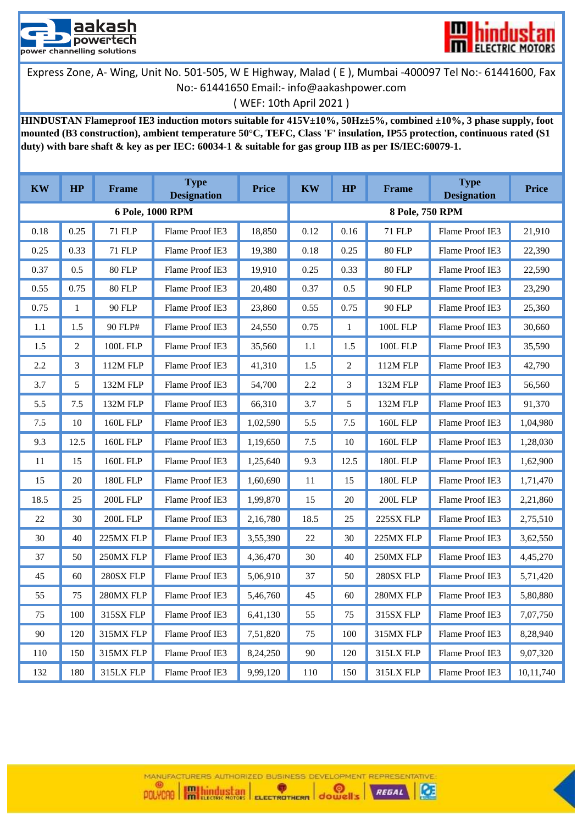



( WEF: 10th April 2021 )

**HINDUSTAN Flameproof IE3 induction motors suitable for 415V±10%, 50Hz±5%, combined ±10%, 3 phase supply, foot mounted (B3 construction), ambient temperature 50°C, TEFC, Class 'F' insulation, IP55 protection, continuous rated (S1 duty) with bare shaft & key as per IEC: 60034-1 & suitable for gas group IIB as per IS/IEC:60079-1.**

| <b>KW</b> | HP             | Frame            | <b>Type</b><br><b>Designation</b> | <b>Price</b> | <b>KW</b>       | HP             | Frame           | <b>Type</b><br><b>Designation</b> | <b>Price</b> |
|-----------|----------------|------------------|-----------------------------------|--------------|-----------------|----------------|-----------------|-----------------------------------|--------------|
|           |                |                  | 6 Pole, 1000 RPM                  |              | 8 Pole, 750 RPM |                |                 |                                   |              |
| 0.18      | 0.25           | 71 FLP           | Flame Proof IE3                   | 18,850       | 0.12            | 0.16           | 71 FLP          | Flame Proof IE3                   | 21,910       |
| 0.25      | 0.33           | <b>71 FLP</b>    | Flame Proof IE3                   | 19,380       | 0.18            | 0.25           | <b>80 FLP</b>   | Flame Proof IE3                   | 22,390       |
| 0.37      | 0.5            | <b>80 FLP</b>    | Flame Proof IE3                   | 19,910       | 0.25            | 0.33           | <b>80 FLP</b>   | Flame Proof IE3                   | 22,590       |
| 0.55      | 0.75           | 80 FLP           | Flame Proof IE3                   | 20,480       | 0.37            | 0.5            | 90 FLP          | Flame Proof IE3                   | 23,290       |
| 0.75      | $\mathbf{1}$   | 90 FLP           | Flame Proof IE3                   | 23,860       | 0.55            | 0.75           | 90 FLP          | Flame Proof IE3                   | 25,360       |
| 1.1       | 1.5            | 90 FLP#          | Flame Proof IE3                   | 24,550       | 0.75            | $\mathbf{1}$   | <b>100L FLP</b> | Flame Proof IE3                   | 30,660       |
| 1.5       | $\overline{2}$ | <b>100L FLP</b>  | Flame Proof IE3                   | 35,560       | 1.1             | 1.5            | <b>100L FLP</b> | Flame Proof IE3                   | 35,590       |
| 2.2       | 3              | 112M FLP         | Flame Proof IE3                   | 41,310       | 1.5             | $\overline{2}$ | 112M FLP        | Flame Proof IE3                   | 42,790       |
| 3.7       | 5              | 132M FLP         | Flame Proof IE3                   | 54,700       | 2.2             | 3              | 132M FLP        | Flame Proof IE3                   | 56,560       |
| 5.5       | 7.5            | 132M FLP         | Flame Proof IE3                   | 66,310       | 3.7             | 5              | 132M FLP        | Flame Proof IE3                   | 91,370       |
| $7.5\,$   | 10             | <b>160L FLP</b>  | Flame Proof IE3                   | 1,02,590     | 5.5             | 7.5            | <b>160L FLP</b> | Flame Proof IE3                   | 1,04,980     |
| 9.3       | 12.5           | 160L FLP         | Flame Proof IE3                   | 1,19,650     | 7.5             | 10             | <b>160L FLP</b> | Flame Proof IE3                   | 1,28,030     |
| 11        | 15             | <b>160L FLP</b>  | Flame Proof IE3                   | 1,25,640     | 9.3             | 12.5           | <b>180L FLP</b> | Flame Proof IE3                   | 1,62,900     |
| 15        | 20             | <b>180L FLP</b>  | Flame Proof IE3                   | 1,60,690     | 11              | 15             | <b>180L FLP</b> | Flame Proof IE3                   | 1,71,470     |
| 18.5      | 25             | 200L FLP         | Flame Proof IE3                   | 1,99,870     | 15              | 20             | 200L FLP        | Flame Proof IE3                   | 2,21,860     |
| 22        | 30             | 200L FLP         | Flame Proof IE3                   | 2,16,780     | 18.5            | 25             | 225SX FLP       | Flame Proof IE3                   | 2,75,510     |
| 30        | 40             | 225MX FLP        | Flame Proof IE3                   | 3,55,390     | 22              | 30             | 225MX FLP       | Flame Proof IE3                   | 3,62,550     |
| 37        | 50             | 250MX FLP        | Flame Proof IE3                   | 4,36,470     | 30              | 40             | 250MX FLP       | Flame Proof IE3                   | 4,45,270     |
| 45        | 60             | 280SX FLP        | Flame Proof IE3                   | 5,06,910     | 37              | 50             | 280SX FLP       | Flame Proof IE3                   | 5,71,420     |
| 55        | 75             | 280MX FLP        | Flame Proof IE3                   | 5,46,760     | 45              | 60             | 280MX FLP       | Flame Proof IE3                   | 5,80,880     |
| 75        | 100            | <b>315SX FLP</b> | Flame Proof IE3                   | 6,41,130     | 55              | 75             | 315SX FLP       | Flame Proof IE3                   | 7,07,750     |
| 90        | 120            | 315MX FLP        | Flame Proof IE3                   | 7,51,820     | 75              | 100            | 315MX FLP       | Flame Proof IE3                   | 8,28,940     |
| 110       | 150            | 315MX FLP        | Flame Proof IE3                   | 8,24,250     | 90              | 120            | 315LX FLP       | Flame Proof IE3                   | 9,07,320     |
| 132       | 180            | 315LX FLP        | Flame Proof IE3                   | 9,99,120     | 110             | 150            | 315LX FLP       | Flame Proof IE3                   | 10,11,740    |



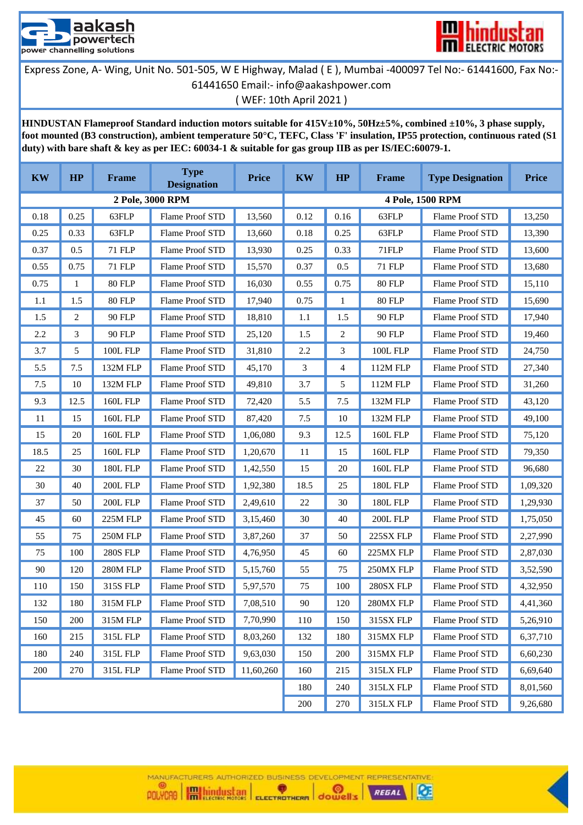



**HINDUSTAN Flameproof Standard induction motors suitable for 415V±10%, 50Hz±5%, combined ±10%, 3 phase supply, foot mounted (B3 construction), ambient temperature 50°C, TEFC, Class 'F' insulation, IP55 protection, continuous rated (S1 duty) with bare shaft & key as per IEC: 60034-1 & suitable for gas group IIB as per IS/IEC:60079-1.**

| <b>KW</b> | HP   | <b>Frame</b>    | <b>Type</b><br><b>Designation</b> | <b>Price</b> | <b>KW</b> | HP      | <b>Frame</b>              | <b>Type Designation</b> | <b>Price</b> |
|-----------|------|-----------------|-----------------------------------|--------------|-----------|---------|---------------------------|-------------------------|--------------|
|           |      |                 | 2 Pole, 3000 RPM                  |              |           |         |                           | 4 Pole, 1500 RPM        |              |
| 0.18      | 0.25 | 63FLP           | Flame Proof STD                   | 13,560       | 0.12      | 0.16    | 63FLP                     | Flame Proof STD         | 13,250       |
| 0.25      | 0.33 | 63FLP           | Flame Proof STD                   | 13,660       | 0.18      | 0.25    | 63FLP                     | Flame Proof STD         | 13,390       |
| 0.37      | 0.5  | 71 FLP          | Flame Proof STD                   | 13,930       | 0.25      | 0.33    | 71FLP                     | Flame Proof STD         | 13,600       |
| 0.55      | 0.75 | 71 FLP          | Flame Proof STD                   | 15,570       | 0.37      | 0.5     | 71 FLP                    | Flame Proof STD         | 13,680       |
| 0.75      | 1    | 80 FLP          | Flame Proof STD                   | 16,030       | 0.55      | 0.75    | 80 FLP                    | Flame Proof STD         | 15,110       |
| 1.1       | 1.5  | <b>80 FLP</b>   | Flame Proof STD                   | 17,940       | 0.75      | 1       | 80 FLP                    | <b>Flame Proof STD</b>  | 15,690       |
| 1.5       | 2    | 90 FLP          | Flame Proof STD                   | 18,810       | 1.1       | 1.5     | 90 FLP                    | Flame Proof STD         | 17,940       |
| 2.2       | 3    | 90 FLP          | Flame Proof STD                   | 25,120       | 1.5       | 2       | 90 FLP                    | Flame Proof STD         | 19,460       |
| 3.7       | 5    | <b>100L FLP</b> | Flame Proof STD                   | 31,810       | 2.2       | 3       | $100L$ FLP $\,$           | Flame Proof STD         | 24,750       |
| 5.5       | 7.5  | 132M FLP        | <b>Flame Proof STD</b>            | 45,170       | 3         | 4       | 112M FLP                  | Flame Proof STD         | 27,340       |
| 7.5       | 10   | 132M FLP        | Flame Proof STD                   | 49,810       | 3.7       | 5       | 112M FLP                  | Flame Proof STD         | 31,260       |
| 9.3       | 12.5 | <b>160L FLP</b> | Flame Proof STD                   | 72,420       | 5.5       | 7.5     | 132M FLP                  | Flame Proof STD         | 43,120       |
| 11        | 15   | <b>160L FLP</b> | <b>Flame Proof STD</b>            | 87,420       | 7.5       | 10      | 132M FLP                  | <b>Flame Proof STD</b>  | 49,100       |
| 15        | 20   | <b>160L FLP</b> | Flame Proof STD                   | 1,06,080     | 9.3       | 12.5    | <b>160L FLP</b>           | Flame Proof STD         | 75,120       |
| 18.5      | 25   | <b>160L FLP</b> | Flame Proof STD                   | 1,20,670     | 11        | 15      | <b>160L FLP</b>           | Flame Proof STD         | 79,350       |
| 22        | 30   | <b>180L FLP</b> | Flame Proof STD                   | 1,42,550     | 15        | 20      | <b>160L FLP</b>           | Flame Proof STD         | 96,680       |
| 30        | 40   | 200L FLP        | Flame Proof STD                   | 1,92,380     | 18.5      | 25      | <b>180L FLP</b>           | Flame Proof STD         | 1,09,320     |
| 37        | 50   | 200L FLP        | Flame Proof STD                   | 2,49,610     | 22        | 30      | <b>180L FLP</b>           | Flame Proof STD         | 1,29,930     |
| 45        | 60   | 225M FLP        | Flame Proof STD                   | 3,15,460     | 30        | 40      | 200L FLP                  | Flame Proof STD         | 1,75,050     |
| 55        | 75   | 250M FLP        | Flame Proof STD                   | 3,87,260     | 37        | 50      | 225SX FLP                 | Flame Proof STD         | 2,27,990     |
| 75        | 100  | <b>280S FLP</b> | Flame Proof STD                   | 4,76,950     | 45        | 60      | 225MX FLP                 | Flame Proof STD         | 2,87,030     |
| 90        | 120  | 280M FLP        | Flame Proof STD                   | 5,15,760     | 55        | 75      | 250MX FLP                 | Flame Proof STD         | 3,52,590     |
| 110       | 150  | 315S FLP        | Flame Proof STD                   | 5,97,570     | 75        | 100     | 280SX FLP                 | Flame Proof STD         | 4,32,950     |
| 132       | 180  | 315M FLP        | Flame Proof STD                   | 7,08,510     | $90\,$    | $120\,$ | $280\mathrm{MX}$ FLP $\,$ | Flame Proof STD         | 4,41,360     |
| 150       | 200  | 315M FLP        | Flame Proof STD                   | 7,70,990     | 110       | 150     | 315SX FLP                 | Flame Proof STD         | 5,26,910     |
| 160       | 215  | 315L FLP        | Flame Proof STD                   | 8,03,260     | 132       | 180     | 315MX FLP                 | Flame Proof STD         | 6,37,710     |
| 180       | 240  | 315L FLP        | Flame Proof STD                   | 9,63,030     | 150       | 200     | 315MX FLP                 | Flame Proof STD         | 6,60,230     |
| 200       | 270  | 315L FLP        | Flame Proof STD                   | 11,60,260    | 160       | 215     | 315LX FLP                 | Flame Proof STD         | 6,69,640     |
|           |      |                 |                                   |              | 180       | 240     | 315LX FLP                 | Flame Proof STD         | 8,01,560     |
|           |      |                 |                                   |              | 200       | 270     | 315LX FLP                 | Flame Proof STD         | 9,26,680     |

MANUFACTURERS AUTHORIZED BUSINESS DEVELOPMENT REPRESENTATIVE @) POLYCAO **Highland School ELECTROTHERM** dowell's  $\bullet$  $\alpha$ REGAL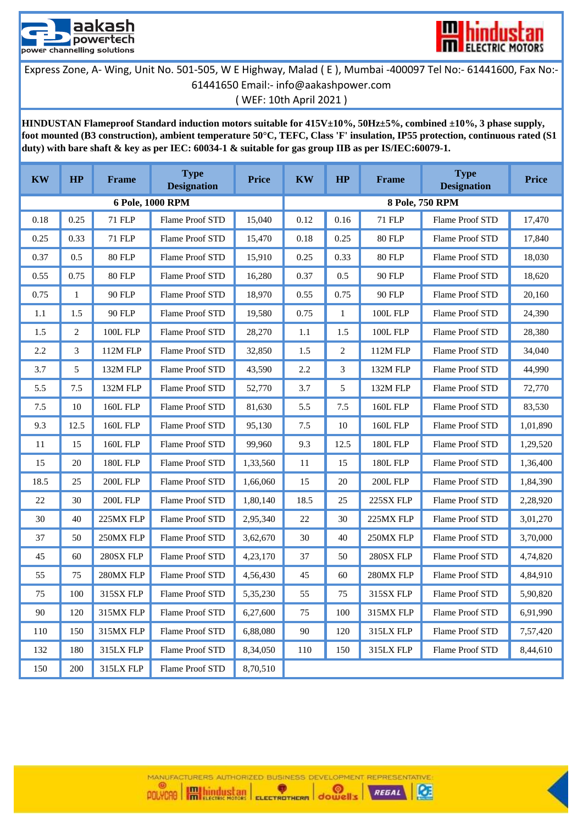



**HINDUSTAN Flameproof Standard induction motors suitable for 415V±10%, 50Hz±5%, combined ±10%, 3 phase supply, foot mounted (B3 construction), ambient temperature 50°C, TEFC, Class 'F' insulation, IP55 protection, continuous rated (S1 duty) with bare shaft & key as per IEC: 60034-1 & suitable for gas group IIB as per IS/IEC:60079-1.**

| <b>KW</b> | HP   | <b>Frame</b>    | <b>Type</b><br><b>Designation</b> | Price    | <b>KW</b> | HP   | <b>Frame</b>    | <b>Type</b><br><b>Designation</b> | <b>Price</b> |
|-----------|------|-----------------|-----------------------------------|----------|-----------|------|-----------------|-----------------------------------|--------------|
|           |      |                 | 6 Pole, 1000 RPM                  |          |           |      |                 | 8 Pole, 750 RPM                   |              |
| 0.18      | 0.25 | <b>71 FLP</b>   | Flame Proof STD                   | 15,040   | 0.12      | 0.16 | 71 FLP          | Flame Proof STD                   | 17,470       |
| 0.25      | 0.33 | <b>71 FLP</b>   | Flame Proof STD                   | 15,470   | 0.18      | 0.25 | 80 FLP          | Flame Proof STD                   | 17,840       |
| 0.37      | 0.5  | 80 FLP          | Flame Proof STD                   | 15,910   | 0.25      | 0.33 | 80 FLP          | Flame Proof STD                   | 18,030       |
| 0.55      | 0.75 | 80 FLP          | Flame Proof STD                   | 16,280   | 0.37      | 0.5  | 90 FLP          | Flame Proof STD                   | 18,620       |
| 0.75      | 1    | 90 FLP          | Flame Proof STD                   | 18,970   | 0.55      | 0.75 | 90 FLP          | Flame Proof STD                   | 20,160       |
| 1.1       | 1.5  | 90 FLP          | Flame Proof STD                   | 19,580   | 0.75      | 1    | <b>100L FLP</b> | Flame Proof STD                   | 24,390       |
| 1.5       | 2    | <b>100L FLP</b> | Flame Proof STD                   | 28,270   | 1.1       | 1.5  | <b>100L FLP</b> | Flame Proof STD                   | 28,380       |
| 2.2       | 3    | 112M FLP        | Flame Proof STD                   | 32,850   | 1.5       | 2    | <b>112M FLP</b> | Flame Proof STD                   | 34,040       |
| 3.7       | 5    | 132M FLP        | Flame Proof STD                   | 43,590   | 2.2       | 3    | 132M FLP        | Flame Proof STD                   | 44,990       |
| 5.5       | 7.5  | 132M FLP        | Flame Proof STD                   | 52,770   | 3.7       | 5    | 132M FLP        | Flame Proof STD                   | 72,770       |
| 7.5       | 10   | <b>160L FLP</b> | Flame Proof STD                   | 81,630   | 5.5       | 7.5  | <b>160L FLP</b> | Flame Proof STD                   | 83,530       |
| 9.3       | 12.5 | <b>160L FLP</b> | Flame Proof STD                   | 95,130   | 7.5       | 10   | <b>160L FLP</b> | Flame Proof STD                   | 1,01,890     |
| 11        | 15   | <b>160L FLP</b> | Flame Proof STD                   | 99,960   | 9.3       | 12.5 | <b>180L FLP</b> | Flame Proof STD                   | 1,29,520     |
| 15        | 20   | <b>180L FLP</b> | Flame Proof STD                   | 1,33,560 | 11        | 15   | <b>180L FLP</b> | Flame Proof STD                   | 1,36,400     |
| 18.5      | 25   | <b>200L FLP</b> | Flame Proof STD                   | 1,66,060 | 15        | 20   | 200L FLP        | Flame Proof STD                   | 1,84,390     |
| 22        | 30   | 200L FLP        | Flame Proof STD                   | 1,80,140 | 18.5      | 25   | 225SX FLP       | Flame Proof STD                   | 2,28,920     |
| 30        | 40   | 225MX FLP       | Flame Proof STD                   | 2,95,340 | 22        | 30   | 225MX FLP       | Flame Proof STD                   | 3,01,270     |
| 37        | 50   | 250MX FLP       | Flame Proof STD                   | 3,62,670 | 30        | 40   | 250MX FLP       | Flame Proof STD                   | 3,70,000     |
| 45        | 60   | 280SX FLP       | Flame Proof STD                   | 4,23,170 | 37        | 50   | 280SX FLP       | Flame Proof STD                   | 4,74,820     |
| 55        | 75   | 280MX FLP       | Flame Proof STD                   | 4,56,430 | 45        | 60   | 280MX FLP       | Flame Proof STD                   | 4,84,910     |
| 75        | 100  | 315SX FLP       | Flame Proof STD                   | 5,35,230 | 55        | 75   | 315SX FLP       | Flame Proof STD                   | 5,90,820     |
| 90        | 120  | 315MX FLP       | Flame Proof STD                   | 6,27,600 | 75        | 100  | 315MX FLP       | Flame Proof STD                   | 6,91,990     |
| 110       | 150  | 315MX FLP       | Flame Proof STD                   | 6,88,080 | $90\,$    | 120  | 315LX FLP       | Flame Proof STD                   | 7,57,420     |
| 132       | 180  | 315LX FLP       | Flame Proof STD                   | 8,34,050 | 110       | 150  | 315LX FLP       | Flame Proof STD                   | 8,44,610     |
| 150       | 200  | 315LX FLP       | Flame Proof STD                   | 8,70,510 |           |      |                 |                                   |              |

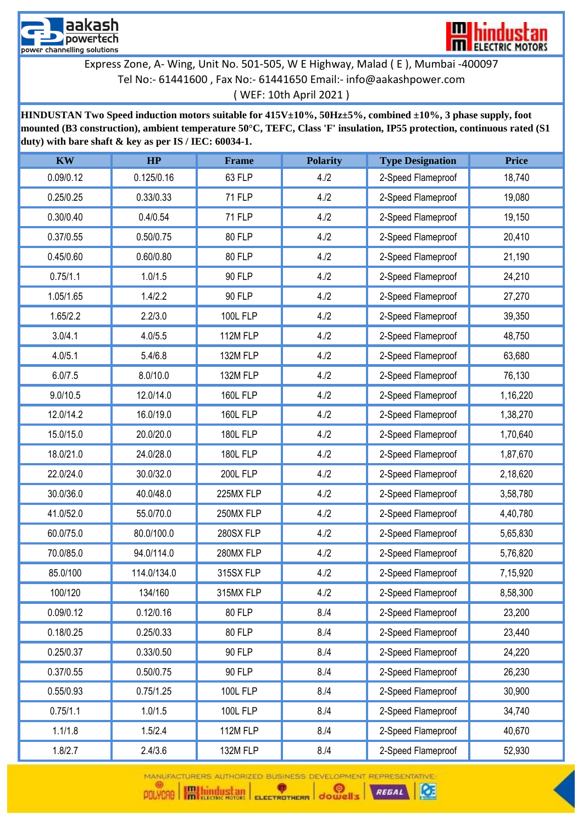



[\(](mailto:info@aakashpower.com) WEF: 10th April 2021 )

**HINDUSTAN Two Speed induction motors suitable for 415V±10%, 50Hz±5%, combined ±10%, 3 phase supply, foot mounted (B3 construction), ambient temperature 50°C, TEFC, Class 'F' insulation, IP55 protection, continuous rated (S1 duty) with bare shaft & key as per IS / IEC: 60034-1.**

| <b>KW</b> | HP          | Frame           | <b>Polarity</b> | <b>Type Designation</b> | <b>Price</b> |
|-----------|-------------|-----------------|-----------------|-------------------------|--------------|
| 0.09/0.12 | 0.125/0.16  | 63 FLP          | 4.12            | 2-Speed Flameproof      | 18,740       |
| 0.25/0.25 | 0.33/0.33   | <b>71 FLP</b>   | 4.12            | 2-Speed Flameproof      | 19,080       |
| 0.30/0.40 | 0.4/0.54    | <b>71 FLP</b>   | 4.12            | 2-Speed Flameproof      | 19,150       |
| 0.37/0.55 | 0.50/0.75   | 80 FLP          | 4.12            | 2-Speed Flameproof      | 20,410       |
| 0.45/0.60 | 0.60/0.80   | 80 FLP          | 4.12            | 2-Speed Flameproof      | 21,190       |
| 0.75/1.1  | 1.0/1.5     | <b>90 FLP</b>   | 4.12            | 2-Speed Flameproof      | 24,210       |
| 1.05/1.65 | 1.4/2.2     | <b>90 FLP</b>   | 4.12            | 2-Speed Flameproof      | 27,270       |
| 1.65/2.2  | 2.2/3.0     | <b>100L FLP</b> | 4.12            | 2-Speed Flameproof      | 39,350       |
| 3.0/4.1   | 4.0/5.5     | 112M FLP        | 4.12            | 2-Speed Flameproof      | 48,750       |
| 4.0/5.1   | 5.4/6.8     | 132M FLP        | 4.12            | 2-Speed Flameproof      | 63,680       |
| 6.0/7.5   | 8.0/10.0    | 132M FLP        | 4.12            | 2-Speed Flameproof      | 76,130       |
| 9.0/10.5  | 12.0/14.0   | <b>160L FLP</b> | 4.12            | 2-Speed Flameproof      | 1,16,220     |
| 12.0/14.2 | 16.0/19.0   | <b>160L FLP</b> | 4.12            | 2-Speed Flameproof      | 1,38,270     |
| 15.0/15.0 | 20.0/20.0   | <b>180L FLP</b> | 4.12            | 2-Speed Flameproof      | 1,70,640     |
| 18.0/21.0 | 24.0/28.0   | <b>180L FLP</b> | 4.12            | 2-Speed Flameproof      | 1,87,670     |
| 22.0/24.0 | 30.0/32.0   | <b>200L FLP</b> | 4.12            | 2-Speed Flameproof      | 2,18,620     |
| 30.0/36.0 | 40.0/48.0   | 225MX FLP       | 4.12            | 2-Speed Flameproof      | 3,58,780     |
| 41.0/52.0 | 55.0/70.0   | 250MX FLP       | 4.12            | 2-Speed Flameproof      | 4,40,780     |
| 60.0/75.0 | 80.0/100.0  | 280SX FLP       | 4.12            | 2-Speed Flameproof      | 5,65,830     |
| 70.0/85.0 | 94.0/114.0  | 280MX FLP       | 4.12            | 2-Speed Flameproof      | 5,76,820     |
| 85.0/100  | 114.0/134.0 | 315SX FLP       | 4.12            | 2-Speed Flameproof      | 7,15,920     |
| 100/120   | 134/160     | 315MX FLP       | 4.12            | 2-Speed Flameproof      | 8,58,300     |
| 0.09/0.12 | 0.12/0.16   | 80 FLP          | 8. / 4          | 2-Speed Flameproof      | 23,200       |
| 0.18/0.25 | 0.25/0.33   | 80 FLP          | 8. / 4          | 2-Speed Flameproof      | 23,440       |
| 0.25/0.37 | 0.33/0.50   | <b>90 FLP</b>   | 8. / 4          | 2-Speed Flameproof      | 24,220       |
| 0.37/0.55 | 0.50/0.75   | 90 FLP          | 8. / 4          | 2-Speed Flameproof      | 26,230       |
| 0.55/0.93 | 0.75/1.25   | <b>100L FLP</b> | 8. / 4          | 2-Speed Flameproof      | 30,900       |
| 0.75/1.1  | 1.0/1.5     | <b>100L FLP</b> | 8. / 4          | 2-Speed Flameproof      | 34,740       |
| 1.1/1.8   | 1.5/2.4     | 112M FLP        | 8. / 4          | 2-Speed Flameproof      | 40,670       |
| 1.8/2.7   | 2.4/3.6     | 132M FLP        | 8. / 4          | 2-Speed Flameproof      | 52,930       |

MANUFACTURERS AUTHORIZED BUSINESS DEVELOPMENT REPRESENTATIVE



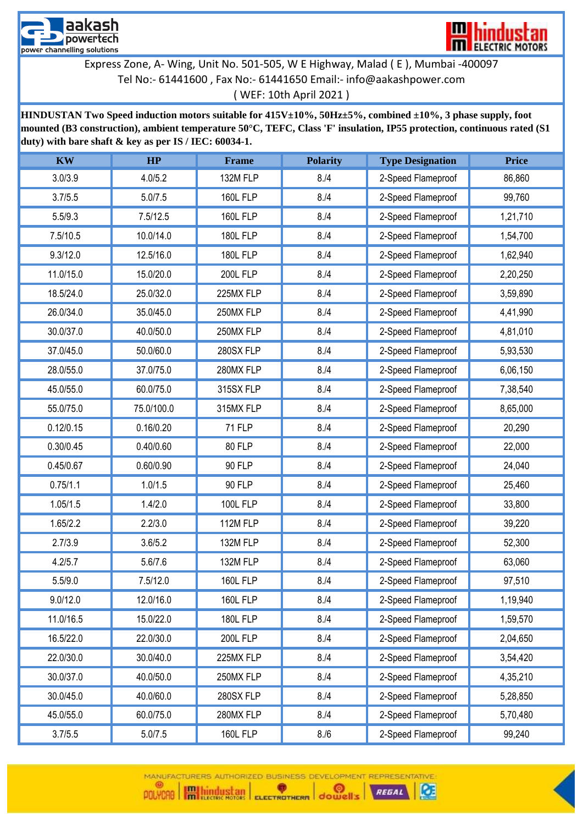



[\(](mailto:info@aakashpower.com) WEF: 10th April 2021 )

**HINDUSTAN Two Speed induction motors suitable for 415V±10%, 50Hz±5%, combined ±10%, 3 phase supply, foot mounted (B3 construction), ambient temperature 50°C, TEFC, Class 'F' insulation, IP55 protection, continuous rated (S1 duty) with bare shaft & key as per IS / IEC: 60034-1.**

| <b>KW</b> | HP         | Frame           | <b>Polarity</b> | <b>Type Designation</b> | <b>Price</b> |
|-----------|------------|-----------------|-----------------|-------------------------|--------------|
| 3.0/3.9   | 4.0/5.2    | 132M FLP        | 8. / 4          | 2-Speed Flameproof      | 86,860       |
| 3.7/5.5   | 5.0/7.5    | <b>160L FLP</b> | 8. / 4          | 2-Speed Flameproof      | 99,760       |
| 5.5/9.3   | 7.5/12.5   | <b>160L FLP</b> | 8. / 4          | 2-Speed Flameproof      | 1,21,710     |
| 7.5/10.5  | 10.0/14.0  | <b>180L FLP</b> | 8. / 4          | 2-Speed Flameproof      | 1,54,700     |
| 9.3/12.0  | 12.5/16.0  | <b>180L FLP</b> | 8. / 4          | 2-Speed Flameproof      | 1,62,940     |
| 11.0/15.0 | 15.0/20.0  | <b>200L FLP</b> | 8. / 4          | 2-Speed Flameproof      | 2,20,250     |
| 18.5/24.0 | 25.0/32.0  | 225MX FLP       | 8. / 4          | 2-Speed Flameproof      | 3,59,890     |
| 26.0/34.0 | 35.0/45.0  | 250MX FLP       | 8. / 4          | 2-Speed Flameproof      | 4,41,990     |
| 30.0/37.0 | 40.0/50.0  | 250MX FLP       | 8. / 4          | 2-Speed Flameproof      | 4,81,010     |
| 37.0/45.0 | 50.0/60.0  | 280SX FLP       | 8. / 4          | 2-Speed Flameproof      | 5,93,530     |
| 28.0/55.0 | 37.0/75.0  | 280MX FLP       | 8. / 4          | 2-Speed Flameproof      | 6,06,150     |
| 45.0/55.0 | 60.0/75.0  | 315SX FLP       | 8. / 4          | 2-Speed Flameproof      | 7,38,540     |
| 55.0/75.0 | 75.0/100.0 | 315MX FLP       | 8. / 4          | 2-Speed Flameproof      | 8,65,000     |
| 0.12/0.15 | 0.16/0.20  | <b>71 FLP</b>   | 8. / 4          | 2-Speed Flameproof      | 20,290       |
| 0.30/0.45 | 0.40/0.60  | 80 FLP          | 8. / 4          | 2-Speed Flameproof      | 22,000       |
| 0.45/0.67 | 0.60/0.90  | <b>90 FLP</b>   | 8. / 4          | 2-Speed Flameproof      | 24,040       |
| 0.75/1.1  | 1.0/1.5    | <b>90 FLP</b>   | 8. / 4          | 2-Speed Flameproof      | 25,460       |
| 1.05/1.5  | 1.4/2.0    | <b>100L FLP</b> | 8. / 4          | 2-Speed Flameproof      | 33,800       |
| 1.65/2.2  | 2.2/3.0    | 112M FLP        | 8. / 4          | 2-Speed Flameproof      | 39,220       |
| 2.7/3.9   | 3.6/5.2    | 132M FLP        | 8. / 4          | 2-Speed Flameproof      | 52,300       |
| 4.2/5.7   | 5.6/7.6    | 132M FLP        | 8. / 4          | 2-Speed Flameproof      | 63,060       |
| 5.5/9.0   | 7.5/12.0   | <b>160L FLP</b> | 8. / 4          | 2-Speed Flameproof      | 97,510       |
| 9.0/12.0  | 12.0/16.0  | <b>160L FLP</b> | 8. / 4          | 2-Speed Flameproof      | 1,19,940     |
| 11.0/16.5 | 15.0/22.0  | <b>180L FLP</b> | 8. / 4          | 2-Speed Flameproof      | 1,59,570     |
| 16.5/22.0 | 22.0/30.0  | <b>200L FLP</b> | 8. / 4          | 2-Speed Flameproof      | 2,04,650     |
| 22.0/30.0 | 30.0/40.0  | 225MX FLP       | 8. / 4          | 2-Speed Flameproof      | 3,54,420     |
| 30.0/37.0 | 40.0/50.0  | 250MX FLP       | 8. / 4          | 2-Speed Flameproof      | 4,35,210     |
| 30.0/45.0 | 40.0/60.0  | 280SX FLP       | 8. / 4          | 2-Speed Flameproof      | 5,28,850     |
| 45.0/55.0 | 60.0/75.0  | 280MX FLP       | 8. / 4          | 2-Speed Flameproof      | 5,70,480     |
| 3.7/5.5   | 5.0/7.5    | <b>160L FLP</b> | 8./6            | 2-Speed Flameproof      | 99,240       |

REGAL

Œ

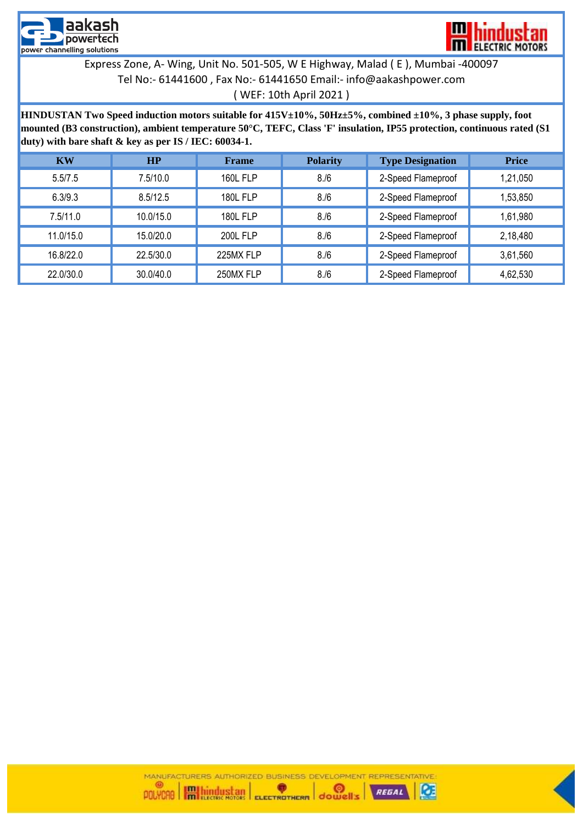



[\(](mailto:info@aakashpower.com) WEF: 10th April 2021 )

**HINDUSTAN Two Speed induction motors suitable for 415V±10%, 50Hz±5%, combined ±10%, 3 phase supply, foot mounted (B3 construction), ambient temperature 50°C, TEFC, Class 'F' insulation, IP55 protection, continuous rated (S1 duty) with bare shaft & key as per IS / IEC: 60034-1.**

| <b>KW</b> | HP        | <b>Frame</b>    | <b>Polarity</b> | <b>Type Designation</b> | <b>Price</b> |
|-----------|-----------|-----------------|-----------------|-------------------------|--------------|
| 5.5/7.5   | 7.5/10.0  | <b>160L FLP</b> | 8. / 6          | 2-Speed Flameproof      | 1,21,050     |
| 6.3/9.3   | 8.5/12.5  | <b>180L FLP</b> | 8. / 6          | 2-Speed Flameproof      | 1,53,850     |
| 7.5/11.0  | 10.0/15.0 | <b>180L FLP</b> | 8. / 6          | 2-Speed Flameproof      | 1,61,980     |
| 11.0/15.0 | 15.0/20.0 | <b>200L FLP</b> | 8. / 6          | 2-Speed Flameproof      | 2,18,480     |
| 16.8/22.0 | 22.5/30.0 | 225MX FLP       | 8. / 6          | 2-Speed Flameproof      | 3,61,560     |
| 22.0/30.0 | 30.0/40.0 | 250MX FLP       | 8. / 6          | 2-Speed Flameproof      | 4,62,530     |



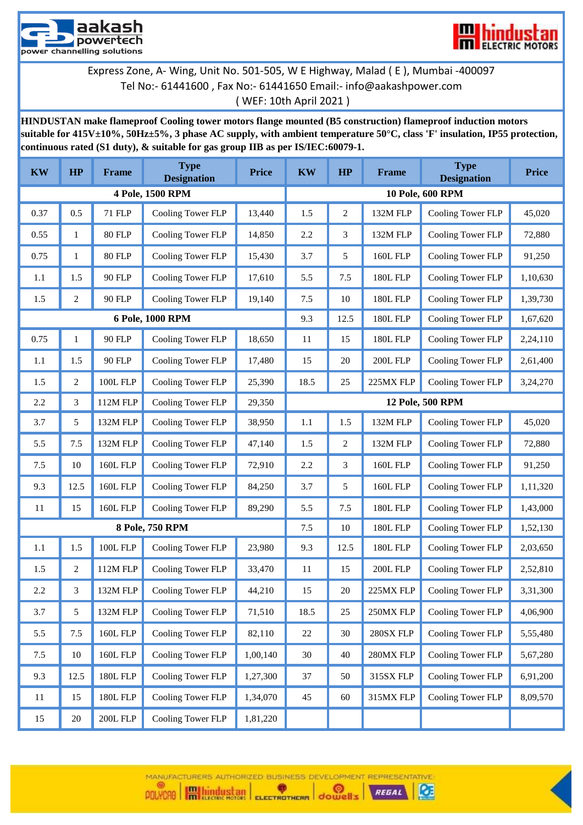



## ( WEF: 10th April 2021 )

**HINDUSTAN make flameproof Cooling tower motors flange mounted (B5 construction) flameproof induction motors suitable for 415V±10%, 50Hz±5%, 3 phase AC supply, with ambient temperature 50°C, class 'F' insulation, IP55 protection, continuous rated (S1 duty), & suitable for gas group IIB as per IS/IEC:60079-1.**

| <b>KW</b> | HP             | <b>Frame</b>    | <b>Type</b><br><b>Designation</b> | <b>Price</b> | <b>KW</b> | HP               | Frame           | <b>Type</b><br><b>Designation</b> | <b>Price</b> |
|-----------|----------------|-----------------|-----------------------------------|--------------|-----------|------------------|-----------------|-----------------------------------|--------------|
|           |                |                 | 4 Pole, 1500 RPM                  |              |           |                  |                 | 10 Pole, 600 RPM                  |              |
| 0.37      | 0.5            | 71 FLP          | Cooling Tower FLP                 | 13,440       | 1.5       | $\boldsymbol{2}$ | 132M FLP        | Cooling Tower FLP                 | 45,020       |
| 0.55      | $\mathbf{1}$   | <b>80 FLP</b>   | Cooling Tower FLP                 | 14,850       | 2.2       | 3                | 132M FLP        | Cooling Tower FLP                 | 72,880       |
| 0.75      | 1              | <b>80 FLP</b>   | Cooling Tower FLP                 | 15,430       | 3.7       | 5                | <b>160L FLP</b> | Cooling Tower FLP                 | 91,250       |
| 1.1       | 1.5            | 90 FLP          | Cooling Tower FLP                 | 17,610       | 5.5       | 7.5              | <b>180L FLP</b> | Cooling Tower FLP                 | 1,10,630     |
| 1.5       | $\overline{c}$ | 90 FLP          | Cooling Tower FLP                 | 19,140       | 7.5       | 10               | <b>180L FLP</b> | Cooling Tower FLP                 | 1,39,730     |
|           |                |                 | 6 Pole, 1000 RPM                  |              | 9.3       | 12.5             | <b>180L FLP</b> | Cooling Tower FLP                 | 1,67,620     |
| 0.75      | 1              | 90 FLP          | Cooling Tower FLP                 | 18,650       | 11        | 15               | <b>180L FLP</b> | Cooling Tower FLP                 | 2,24,110     |
| 1.1       | 1.5            | 90 FLP          | Cooling Tower FLP                 | 17,480       | 15        | 20               | 200L FLP        | Cooling Tower FLP                 | 2,61,400     |
| 1.5       | 2              | <b>100L FLP</b> | Cooling Tower FLP                 | 25,390       | 18.5      | 25               | 225MX FLP       | Cooling Tower FLP                 | 3,24,270     |
| 2.2       | 3              | 112M FLP        | Cooling Tower FLP                 | 29,350       |           |                  |                 | 12 Pole, 500 RPM                  |              |
| 3.7       | 5              | 132M FLP        | Cooling Tower FLP                 | 38,950       | $1.1\,$   | 1.5              | 132M FLP        | Cooling Tower FLP                 | 45,020       |
| 5.5       | 7.5            | 132M FLP        | Cooling Tower FLP                 | 47,140       | 1.5       | $\overline{2}$   | 132M FLP        | Cooling Tower FLP                 | 72,880       |
| 7.5       | 10             | <b>160L FLP</b> | Cooling Tower FLP                 | 72,910       | 2.2       | 3                | <b>160L FLP</b> | Cooling Tower FLP                 | 91,250       |
| 9.3       | 12.5           | <b>160L FLP</b> | Cooling Tower FLP                 | 84,250       | 3.7       | 5                | <b>160L FLP</b> | Cooling Tower FLP                 | 1,11,320     |
| 11        | 15             | <b>160L FLP</b> | Cooling Tower FLP                 | 89,290       | 5.5       | 7.5              | <b>180L FLP</b> | Cooling Tower FLP                 | 1,43,000     |
|           |                |                 | 8 Pole, 750 RPM                   |              | 7.5       | 10               | <b>180L FLP</b> | Cooling Tower FLP                 | 1,52,130     |
| 1.1       | 1.5            | <b>100L FLP</b> | Cooling Tower FLP                 | 23,980       | 9.3       | 12.5             | <b>180L FLP</b> | Cooling Tower FLP                 | 2,03,650     |
| 1.5       | $\overline{c}$ | 112M FLP        | Cooling Tower FLP                 | 33,470       | 11        | 15               | <b>200L FLP</b> | Cooling Tower FLP                 | 2,52,810     |
| 2.2       | 3              | 132M FLP        | Cooling Tower FLP                 | 44,210       | 15        | 20               | 225MX FLP       | Cooling Tower FLP                 | 3,31,300     |
| 3.7       | 5              | 132M FLP        | Cooling Tower FLP                 | 71,510       | 18.5      | 25               | 250MX FLP       | Cooling Tower FLP                 | 4,06,900     |
| 5.5       | $7.5\,$        | <b>160L FLP</b> | Cooling Tower FLP                 | 82,110       | 22        | 30               | 280SX FLP       | Cooling Tower FLP                 | 5,55,480     |
| 7.5       | 10             | <b>160L FLP</b> | Cooling Tower FLP                 | 1,00,140     | $30\,$    | 40               | 280MX FLP       | Cooling Tower FLP                 | 5,67,280     |
| 9.3       | 12.5           | <b>180L FLP</b> | Cooling Tower FLP                 | 1,27,300     | 37        | 50               | 315SX FLP       | Cooling Tower FLP                 | 6,91,200     |
| 11        | 15             | <b>180L FLP</b> | Cooling Tower FLP                 | 1,34,070     | 45        | 60               | 315MX FLP       | Cooling Tower FLP                 | 8,09,570     |
| 15        | $20\,$         | $200L$ FLP $\,$ | Cooling Tower FLP                 | 1,81,220     |           |                  |                 |                                   |              |

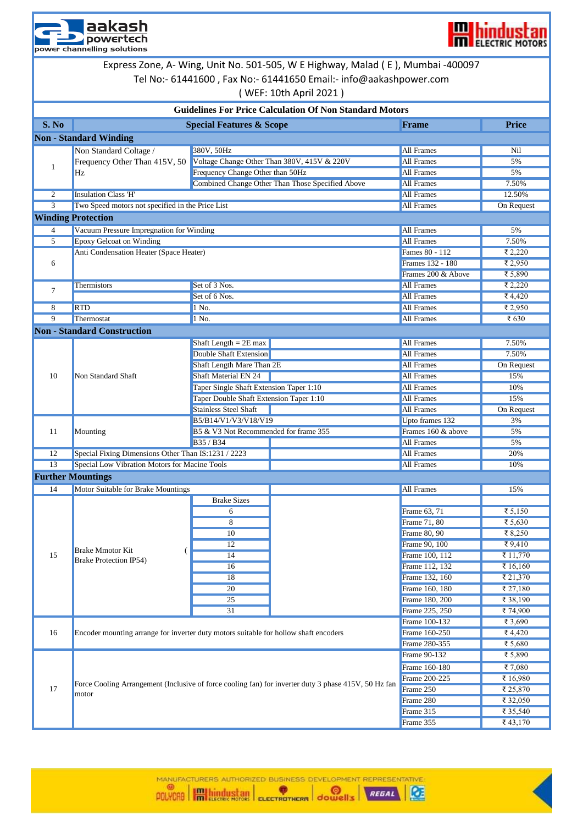



Express Zone, A- Wing, Unit No. 501-505, W E Highway, Malad ( E ), Mumbai -400097

## [T](mailto:info@aakashpower.com)el No:- 61441600 , Fax No:- 61441650 Email:- info@aakashpower.com [\(](mailto:info@aakashpower.com) WEF: 10th April 2021 )

| <b>Guidelines For Price Calculation Of Non Standard Motors</b><br>S. No<br><b>Special Features &amp; Scope</b><br><b>Price</b><br><b>Frame</b><br><b>Non - Standard Winding</b><br>380V, 50Hz<br>Non Standard Coltage /<br><b>All Frames</b><br>Nil<br><b>All Frames</b><br>Voltage Change Other Than 380V, 415V & 220V<br>Frequency Other Than 415V, 50<br>5%<br>1<br>Frequency Change Other than 50Hz<br><b>All Frames</b><br>5%<br>Hz<br><b>Combined Change Other Than Those Specified Above</b><br><b>All Frames</b><br>7.50%<br>2<br><b>Insulation Class 'H'</b><br><b>All Frames</b><br>12.50%<br>Two Speed motors not specified in the Price List<br><b>All Frames</b><br>3<br>On Request<br><b>Winding Protection</b><br>Vacuum Pressure Impregnation for Winding<br><b>All Frames</b><br>5%<br>4<br>5<br><b>Epoxy Gelcoat on Winding</b><br><b>All Frames</b><br>7.50%<br>Anti Condensation Heater (Space Heater)<br>₹ 2,220<br>Fames 80 - 112<br>₹ 2,950<br>Frames 132 - 180<br>6<br>₹ 5,890<br>Frames 200 & Above<br>₹ 2,220<br>Set of 3 Nos.<br><b>All Frames</b><br>Thermistors<br>7<br>₹ $4,420$<br>Set of 6 Nos.<br><b>All Frames</b><br><b>RTD</b><br><b>All Frames</b><br>₹ 2,950<br>8<br>1 No.<br>9<br>Thermostat<br><b>All Frames</b><br>₹ 630<br>1 No.<br><b>Non - Standard Construction</b><br>Shaft Length $= 2E$ max<br><b>All Frames</b><br>7.50%<br><b>Double Shaft Extension</b><br><b>All Frames</b><br>7.50%<br>Shaft Length Mare Than 2E<br><b>All Frames</b><br>On Request<br>10<br><b>Non Standard Shaft</b><br><b>Shaft Material EN 24</b><br><b>All Frames</b><br>15%<br>Taper Single Shaft Extension Taper 1:10<br><b>All Frames</b><br>10%<br>Taper Double Shaft Extension Taper 1:10<br><b>All Frames</b><br>15%<br><b>Stainless Steel Shaft</b><br><b>All Frames</b><br>On Request<br>B5/B14/V1/V3/V18/V19<br>Upto frames 132<br>3%<br>Frames 160 & above<br>B5 & V3 Not Recommended for frame 355<br>11<br>Mounting<br>5%<br><b>All Frames</b><br>B35 / B34<br>5%<br>Special Fixing Dimensions Other Than IS:1231 / 2223<br>12<br><b>All Frames</b><br>20%<br><b>Special Low Vibration Motors for Macine Tools</b><br>13<br><b>All Frames</b><br>10%<br><b>Further Mountings</b><br>14<br>Motor Suitable for Brake Mountings<br><b>All Frames</b><br>15%<br><b>Brake Sizes</b><br>Frame 63, 71<br>₹ 5,150<br>6<br>8<br>Frame 71, 80<br>₹ 5,630<br>₹ 8,250<br>$\overline{10}$<br>Frame 80, 90<br>12<br>Frame 90, 100<br>₹9,410<br><b>Brake Mmotor Kit</b><br>15<br>₹ 11,770<br>14<br>Frame 100, 112<br><b>Brake Protection IP54)</b><br>Frame 112, 132<br>₹ 16,160<br>16<br>Frame 132, 160<br>18<br>₹ 21,370<br>Frame 160, 180<br>₹ 27,180<br>20<br>25<br>Frame 180, 200<br>₹ 38,190<br>31<br>₹74,900<br>Frame 225, 250<br>Frame 100-132<br>₹ 3,690<br>16<br>Frame 160-250<br>₹ $4,420$<br>Encoder mounting arrange for inverter duty motors suitable for hollow shaft encoders<br>Frame 280-355<br>₹ 5,680<br>Frame 90-132<br>₹ 5,890<br>Frame 160-180<br>₹7,080<br>Frame 200-225<br>₹ 16,980<br>Force Cooling Arrangement (Inclusive of force cooling fan) for inverter duty 3 phase 415V, 50 Hz fan<br>17<br>Frame 250<br>₹ 25,870<br>motor<br>Frame 280<br>₹ 32,050<br>Frame 315<br>₹ 35,540<br>Frame 355<br>₹ $43,170$ |  |  | (WEF. IULII APIII ZUZI ) |  |  |
|------------------------------------------------------------------------------------------------------------------------------------------------------------------------------------------------------------------------------------------------------------------------------------------------------------------------------------------------------------------------------------------------------------------------------------------------------------------------------------------------------------------------------------------------------------------------------------------------------------------------------------------------------------------------------------------------------------------------------------------------------------------------------------------------------------------------------------------------------------------------------------------------------------------------------------------------------------------------------------------------------------------------------------------------------------------------------------------------------------------------------------------------------------------------------------------------------------------------------------------------------------------------------------------------------------------------------------------------------------------------------------------------------------------------------------------------------------------------------------------------------------------------------------------------------------------------------------------------------------------------------------------------------------------------------------------------------------------------------------------------------------------------------------------------------------------------------------------------------------------------------------------------------------------------------------------------------------------------------------------------------------------------------------------------------------------------------------------------------------------------------------------------------------------------------------------------------------------------------------------------------------------------------------------------------------------------------------------------------------------------------------------------------------------------------------------------------------------------------------------------------------------------------------------------------------------------------------------------------------------------------------------------------------------------------------------------------------------------------------------------------------------------------------------------------------------------------------------------------------------------------------------------------------------------------------------------------------------------------------------------------------------------------------------------------------------------------------------------------------------------------------------------------------------------------------------------------------------------------------------------------------------|--|--|--------------------------|--|--|
|                                                                                                                                                                                                                                                                                                                                                                                                                                                                                                                                                                                                                                                                                                                                                                                                                                                                                                                                                                                                                                                                                                                                                                                                                                                                                                                                                                                                                                                                                                                                                                                                                                                                                                                                                                                                                                                                                                                                                                                                                                                                                                                                                                                                                                                                                                                                                                                                                                                                                                                                                                                                                                                                                                                                                                                                                                                                                                                                                                                                                                                                                                                                                                                                                                                                  |  |  |                          |  |  |
|                                                                                                                                                                                                                                                                                                                                                                                                                                                                                                                                                                                                                                                                                                                                                                                                                                                                                                                                                                                                                                                                                                                                                                                                                                                                                                                                                                                                                                                                                                                                                                                                                                                                                                                                                                                                                                                                                                                                                                                                                                                                                                                                                                                                                                                                                                                                                                                                                                                                                                                                                                                                                                                                                                                                                                                                                                                                                                                                                                                                                                                                                                                                                                                                                                                                  |  |  |                          |  |  |
|                                                                                                                                                                                                                                                                                                                                                                                                                                                                                                                                                                                                                                                                                                                                                                                                                                                                                                                                                                                                                                                                                                                                                                                                                                                                                                                                                                                                                                                                                                                                                                                                                                                                                                                                                                                                                                                                                                                                                                                                                                                                                                                                                                                                                                                                                                                                                                                                                                                                                                                                                                                                                                                                                                                                                                                                                                                                                                                                                                                                                                                                                                                                                                                                                                                                  |  |  |                          |  |  |
|                                                                                                                                                                                                                                                                                                                                                                                                                                                                                                                                                                                                                                                                                                                                                                                                                                                                                                                                                                                                                                                                                                                                                                                                                                                                                                                                                                                                                                                                                                                                                                                                                                                                                                                                                                                                                                                                                                                                                                                                                                                                                                                                                                                                                                                                                                                                                                                                                                                                                                                                                                                                                                                                                                                                                                                                                                                                                                                                                                                                                                                                                                                                                                                                                                                                  |  |  |                          |  |  |
|                                                                                                                                                                                                                                                                                                                                                                                                                                                                                                                                                                                                                                                                                                                                                                                                                                                                                                                                                                                                                                                                                                                                                                                                                                                                                                                                                                                                                                                                                                                                                                                                                                                                                                                                                                                                                                                                                                                                                                                                                                                                                                                                                                                                                                                                                                                                                                                                                                                                                                                                                                                                                                                                                                                                                                                                                                                                                                                                                                                                                                                                                                                                                                                                                                                                  |  |  |                          |  |  |
|                                                                                                                                                                                                                                                                                                                                                                                                                                                                                                                                                                                                                                                                                                                                                                                                                                                                                                                                                                                                                                                                                                                                                                                                                                                                                                                                                                                                                                                                                                                                                                                                                                                                                                                                                                                                                                                                                                                                                                                                                                                                                                                                                                                                                                                                                                                                                                                                                                                                                                                                                                                                                                                                                                                                                                                                                                                                                                                                                                                                                                                                                                                                                                                                                                                                  |  |  |                          |  |  |
|                                                                                                                                                                                                                                                                                                                                                                                                                                                                                                                                                                                                                                                                                                                                                                                                                                                                                                                                                                                                                                                                                                                                                                                                                                                                                                                                                                                                                                                                                                                                                                                                                                                                                                                                                                                                                                                                                                                                                                                                                                                                                                                                                                                                                                                                                                                                                                                                                                                                                                                                                                                                                                                                                                                                                                                                                                                                                                                                                                                                                                                                                                                                                                                                                                                                  |  |  |                          |  |  |
|                                                                                                                                                                                                                                                                                                                                                                                                                                                                                                                                                                                                                                                                                                                                                                                                                                                                                                                                                                                                                                                                                                                                                                                                                                                                                                                                                                                                                                                                                                                                                                                                                                                                                                                                                                                                                                                                                                                                                                                                                                                                                                                                                                                                                                                                                                                                                                                                                                                                                                                                                                                                                                                                                                                                                                                                                                                                                                                                                                                                                                                                                                                                                                                                                                                                  |  |  |                          |  |  |
|                                                                                                                                                                                                                                                                                                                                                                                                                                                                                                                                                                                                                                                                                                                                                                                                                                                                                                                                                                                                                                                                                                                                                                                                                                                                                                                                                                                                                                                                                                                                                                                                                                                                                                                                                                                                                                                                                                                                                                                                                                                                                                                                                                                                                                                                                                                                                                                                                                                                                                                                                                                                                                                                                                                                                                                                                                                                                                                                                                                                                                                                                                                                                                                                                                                                  |  |  |                          |  |  |
|                                                                                                                                                                                                                                                                                                                                                                                                                                                                                                                                                                                                                                                                                                                                                                                                                                                                                                                                                                                                                                                                                                                                                                                                                                                                                                                                                                                                                                                                                                                                                                                                                                                                                                                                                                                                                                                                                                                                                                                                                                                                                                                                                                                                                                                                                                                                                                                                                                                                                                                                                                                                                                                                                                                                                                                                                                                                                                                                                                                                                                                                                                                                                                                                                                                                  |  |  |                          |  |  |
|                                                                                                                                                                                                                                                                                                                                                                                                                                                                                                                                                                                                                                                                                                                                                                                                                                                                                                                                                                                                                                                                                                                                                                                                                                                                                                                                                                                                                                                                                                                                                                                                                                                                                                                                                                                                                                                                                                                                                                                                                                                                                                                                                                                                                                                                                                                                                                                                                                                                                                                                                                                                                                                                                                                                                                                                                                                                                                                                                                                                                                                                                                                                                                                                                                                                  |  |  |                          |  |  |
|                                                                                                                                                                                                                                                                                                                                                                                                                                                                                                                                                                                                                                                                                                                                                                                                                                                                                                                                                                                                                                                                                                                                                                                                                                                                                                                                                                                                                                                                                                                                                                                                                                                                                                                                                                                                                                                                                                                                                                                                                                                                                                                                                                                                                                                                                                                                                                                                                                                                                                                                                                                                                                                                                                                                                                                                                                                                                                                                                                                                                                                                                                                                                                                                                                                                  |  |  |                          |  |  |
|                                                                                                                                                                                                                                                                                                                                                                                                                                                                                                                                                                                                                                                                                                                                                                                                                                                                                                                                                                                                                                                                                                                                                                                                                                                                                                                                                                                                                                                                                                                                                                                                                                                                                                                                                                                                                                                                                                                                                                                                                                                                                                                                                                                                                                                                                                                                                                                                                                                                                                                                                                                                                                                                                                                                                                                                                                                                                                                                                                                                                                                                                                                                                                                                                                                                  |  |  |                          |  |  |
|                                                                                                                                                                                                                                                                                                                                                                                                                                                                                                                                                                                                                                                                                                                                                                                                                                                                                                                                                                                                                                                                                                                                                                                                                                                                                                                                                                                                                                                                                                                                                                                                                                                                                                                                                                                                                                                                                                                                                                                                                                                                                                                                                                                                                                                                                                                                                                                                                                                                                                                                                                                                                                                                                                                                                                                                                                                                                                                                                                                                                                                                                                                                                                                                                                                                  |  |  |                          |  |  |
|                                                                                                                                                                                                                                                                                                                                                                                                                                                                                                                                                                                                                                                                                                                                                                                                                                                                                                                                                                                                                                                                                                                                                                                                                                                                                                                                                                                                                                                                                                                                                                                                                                                                                                                                                                                                                                                                                                                                                                                                                                                                                                                                                                                                                                                                                                                                                                                                                                                                                                                                                                                                                                                                                                                                                                                                                                                                                                                                                                                                                                                                                                                                                                                                                                                                  |  |  |                          |  |  |
|                                                                                                                                                                                                                                                                                                                                                                                                                                                                                                                                                                                                                                                                                                                                                                                                                                                                                                                                                                                                                                                                                                                                                                                                                                                                                                                                                                                                                                                                                                                                                                                                                                                                                                                                                                                                                                                                                                                                                                                                                                                                                                                                                                                                                                                                                                                                                                                                                                                                                                                                                                                                                                                                                                                                                                                                                                                                                                                                                                                                                                                                                                                                                                                                                                                                  |  |  |                          |  |  |
|                                                                                                                                                                                                                                                                                                                                                                                                                                                                                                                                                                                                                                                                                                                                                                                                                                                                                                                                                                                                                                                                                                                                                                                                                                                                                                                                                                                                                                                                                                                                                                                                                                                                                                                                                                                                                                                                                                                                                                                                                                                                                                                                                                                                                                                                                                                                                                                                                                                                                                                                                                                                                                                                                                                                                                                                                                                                                                                                                                                                                                                                                                                                                                                                                                                                  |  |  |                          |  |  |
|                                                                                                                                                                                                                                                                                                                                                                                                                                                                                                                                                                                                                                                                                                                                                                                                                                                                                                                                                                                                                                                                                                                                                                                                                                                                                                                                                                                                                                                                                                                                                                                                                                                                                                                                                                                                                                                                                                                                                                                                                                                                                                                                                                                                                                                                                                                                                                                                                                                                                                                                                                                                                                                                                                                                                                                                                                                                                                                                                                                                                                                                                                                                                                                                                                                                  |  |  |                          |  |  |
|                                                                                                                                                                                                                                                                                                                                                                                                                                                                                                                                                                                                                                                                                                                                                                                                                                                                                                                                                                                                                                                                                                                                                                                                                                                                                                                                                                                                                                                                                                                                                                                                                                                                                                                                                                                                                                                                                                                                                                                                                                                                                                                                                                                                                                                                                                                                                                                                                                                                                                                                                                                                                                                                                                                                                                                                                                                                                                                                                                                                                                                                                                                                                                                                                                                                  |  |  |                          |  |  |
|                                                                                                                                                                                                                                                                                                                                                                                                                                                                                                                                                                                                                                                                                                                                                                                                                                                                                                                                                                                                                                                                                                                                                                                                                                                                                                                                                                                                                                                                                                                                                                                                                                                                                                                                                                                                                                                                                                                                                                                                                                                                                                                                                                                                                                                                                                                                                                                                                                                                                                                                                                                                                                                                                                                                                                                                                                                                                                                                                                                                                                                                                                                                                                                                                                                                  |  |  |                          |  |  |
|                                                                                                                                                                                                                                                                                                                                                                                                                                                                                                                                                                                                                                                                                                                                                                                                                                                                                                                                                                                                                                                                                                                                                                                                                                                                                                                                                                                                                                                                                                                                                                                                                                                                                                                                                                                                                                                                                                                                                                                                                                                                                                                                                                                                                                                                                                                                                                                                                                                                                                                                                                                                                                                                                                                                                                                                                                                                                                                                                                                                                                                                                                                                                                                                                                                                  |  |  |                          |  |  |
|                                                                                                                                                                                                                                                                                                                                                                                                                                                                                                                                                                                                                                                                                                                                                                                                                                                                                                                                                                                                                                                                                                                                                                                                                                                                                                                                                                                                                                                                                                                                                                                                                                                                                                                                                                                                                                                                                                                                                                                                                                                                                                                                                                                                                                                                                                                                                                                                                                                                                                                                                                                                                                                                                                                                                                                                                                                                                                                                                                                                                                                                                                                                                                                                                                                                  |  |  |                          |  |  |
|                                                                                                                                                                                                                                                                                                                                                                                                                                                                                                                                                                                                                                                                                                                                                                                                                                                                                                                                                                                                                                                                                                                                                                                                                                                                                                                                                                                                                                                                                                                                                                                                                                                                                                                                                                                                                                                                                                                                                                                                                                                                                                                                                                                                                                                                                                                                                                                                                                                                                                                                                                                                                                                                                                                                                                                                                                                                                                                                                                                                                                                                                                                                                                                                                                                                  |  |  |                          |  |  |
|                                                                                                                                                                                                                                                                                                                                                                                                                                                                                                                                                                                                                                                                                                                                                                                                                                                                                                                                                                                                                                                                                                                                                                                                                                                                                                                                                                                                                                                                                                                                                                                                                                                                                                                                                                                                                                                                                                                                                                                                                                                                                                                                                                                                                                                                                                                                                                                                                                                                                                                                                                                                                                                                                                                                                                                                                                                                                                                                                                                                                                                                                                                                                                                                                                                                  |  |  |                          |  |  |
|                                                                                                                                                                                                                                                                                                                                                                                                                                                                                                                                                                                                                                                                                                                                                                                                                                                                                                                                                                                                                                                                                                                                                                                                                                                                                                                                                                                                                                                                                                                                                                                                                                                                                                                                                                                                                                                                                                                                                                                                                                                                                                                                                                                                                                                                                                                                                                                                                                                                                                                                                                                                                                                                                                                                                                                                                                                                                                                                                                                                                                                                                                                                                                                                                                                                  |  |  |                          |  |  |
|                                                                                                                                                                                                                                                                                                                                                                                                                                                                                                                                                                                                                                                                                                                                                                                                                                                                                                                                                                                                                                                                                                                                                                                                                                                                                                                                                                                                                                                                                                                                                                                                                                                                                                                                                                                                                                                                                                                                                                                                                                                                                                                                                                                                                                                                                                                                                                                                                                                                                                                                                                                                                                                                                                                                                                                                                                                                                                                                                                                                                                                                                                                                                                                                                                                                  |  |  |                          |  |  |
|                                                                                                                                                                                                                                                                                                                                                                                                                                                                                                                                                                                                                                                                                                                                                                                                                                                                                                                                                                                                                                                                                                                                                                                                                                                                                                                                                                                                                                                                                                                                                                                                                                                                                                                                                                                                                                                                                                                                                                                                                                                                                                                                                                                                                                                                                                                                                                                                                                                                                                                                                                                                                                                                                                                                                                                                                                                                                                                                                                                                                                                                                                                                                                                                                                                                  |  |  |                          |  |  |
|                                                                                                                                                                                                                                                                                                                                                                                                                                                                                                                                                                                                                                                                                                                                                                                                                                                                                                                                                                                                                                                                                                                                                                                                                                                                                                                                                                                                                                                                                                                                                                                                                                                                                                                                                                                                                                                                                                                                                                                                                                                                                                                                                                                                                                                                                                                                                                                                                                                                                                                                                                                                                                                                                                                                                                                                                                                                                                                                                                                                                                                                                                                                                                                                                                                                  |  |  |                          |  |  |
|                                                                                                                                                                                                                                                                                                                                                                                                                                                                                                                                                                                                                                                                                                                                                                                                                                                                                                                                                                                                                                                                                                                                                                                                                                                                                                                                                                                                                                                                                                                                                                                                                                                                                                                                                                                                                                                                                                                                                                                                                                                                                                                                                                                                                                                                                                                                                                                                                                                                                                                                                                                                                                                                                                                                                                                                                                                                                                                                                                                                                                                                                                                                                                                                                                                                  |  |  |                          |  |  |
|                                                                                                                                                                                                                                                                                                                                                                                                                                                                                                                                                                                                                                                                                                                                                                                                                                                                                                                                                                                                                                                                                                                                                                                                                                                                                                                                                                                                                                                                                                                                                                                                                                                                                                                                                                                                                                                                                                                                                                                                                                                                                                                                                                                                                                                                                                                                                                                                                                                                                                                                                                                                                                                                                                                                                                                                                                                                                                                                                                                                                                                                                                                                                                                                                                                                  |  |  |                          |  |  |
|                                                                                                                                                                                                                                                                                                                                                                                                                                                                                                                                                                                                                                                                                                                                                                                                                                                                                                                                                                                                                                                                                                                                                                                                                                                                                                                                                                                                                                                                                                                                                                                                                                                                                                                                                                                                                                                                                                                                                                                                                                                                                                                                                                                                                                                                                                                                                                                                                                                                                                                                                                                                                                                                                                                                                                                                                                                                                                                                                                                                                                                                                                                                                                                                                                                                  |  |  |                          |  |  |
|                                                                                                                                                                                                                                                                                                                                                                                                                                                                                                                                                                                                                                                                                                                                                                                                                                                                                                                                                                                                                                                                                                                                                                                                                                                                                                                                                                                                                                                                                                                                                                                                                                                                                                                                                                                                                                                                                                                                                                                                                                                                                                                                                                                                                                                                                                                                                                                                                                                                                                                                                                                                                                                                                                                                                                                                                                                                                                                                                                                                                                                                                                                                                                                                                                                                  |  |  |                          |  |  |
|                                                                                                                                                                                                                                                                                                                                                                                                                                                                                                                                                                                                                                                                                                                                                                                                                                                                                                                                                                                                                                                                                                                                                                                                                                                                                                                                                                                                                                                                                                                                                                                                                                                                                                                                                                                                                                                                                                                                                                                                                                                                                                                                                                                                                                                                                                                                                                                                                                                                                                                                                                                                                                                                                                                                                                                                                                                                                                                                                                                                                                                                                                                                                                                                                                                                  |  |  |                          |  |  |
|                                                                                                                                                                                                                                                                                                                                                                                                                                                                                                                                                                                                                                                                                                                                                                                                                                                                                                                                                                                                                                                                                                                                                                                                                                                                                                                                                                                                                                                                                                                                                                                                                                                                                                                                                                                                                                                                                                                                                                                                                                                                                                                                                                                                                                                                                                                                                                                                                                                                                                                                                                                                                                                                                                                                                                                                                                                                                                                                                                                                                                                                                                                                                                                                                                                                  |  |  |                          |  |  |
|                                                                                                                                                                                                                                                                                                                                                                                                                                                                                                                                                                                                                                                                                                                                                                                                                                                                                                                                                                                                                                                                                                                                                                                                                                                                                                                                                                                                                                                                                                                                                                                                                                                                                                                                                                                                                                                                                                                                                                                                                                                                                                                                                                                                                                                                                                                                                                                                                                                                                                                                                                                                                                                                                                                                                                                                                                                                                                                                                                                                                                                                                                                                                                                                                                                                  |  |  |                          |  |  |
|                                                                                                                                                                                                                                                                                                                                                                                                                                                                                                                                                                                                                                                                                                                                                                                                                                                                                                                                                                                                                                                                                                                                                                                                                                                                                                                                                                                                                                                                                                                                                                                                                                                                                                                                                                                                                                                                                                                                                                                                                                                                                                                                                                                                                                                                                                                                                                                                                                                                                                                                                                                                                                                                                                                                                                                                                                                                                                                                                                                                                                                                                                                                                                                                                                                                  |  |  |                          |  |  |
|                                                                                                                                                                                                                                                                                                                                                                                                                                                                                                                                                                                                                                                                                                                                                                                                                                                                                                                                                                                                                                                                                                                                                                                                                                                                                                                                                                                                                                                                                                                                                                                                                                                                                                                                                                                                                                                                                                                                                                                                                                                                                                                                                                                                                                                                                                                                                                                                                                                                                                                                                                                                                                                                                                                                                                                                                                                                                                                                                                                                                                                                                                                                                                                                                                                                  |  |  |                          |  |  |
|                                                                                                                                                                                                                                                                                                                                                                                                                                                                                                                                                                                                                                                                                                                                                                                                                                                                                                                                                                                                                                                                                                                                                                                                                                                                                                                                                                                                                                                                                                                                                                                                                                                                                                                                                                                                                                                                                                                                                                                                                                                                                                                                                                                                                                                                                                                                                                                                                                                                                                                                                                                                                                                                                                                                                                                                                                                                                                                                                                                                                                                                                                                                                                                                                                                                  |  |  |                          |  |  |
|                                                                                                                                                                                                                                                                                                                                                                                                                                                                                                                                                                                                                                                                                                                                                                                                                                                                                                                                                                                                                                                                                                                                                                                                                                                                                                                                                                                                                                                                                                                                                                                                                                                                                                                                                                                                                                                                                                                                                                                                                                                                                                                                                                                                                                                                                                                                                                                                                                                                                                                                                                                                                                                                                                                                                                                                                                                                                                                                                                                                                                                                                                                                                                                                                                                                  |  |  |                          |  |  |
|                                                                                                                                                                                                                                                                                                                                                                                                                                                                                                                                                                                                                                                                                                                                                                                                                                                                                                                                                                                                                                                                                                                                                                                                                                                                                                                                                                                                                                                                                                                                                                                                                                                                                                                                                                                                                                                                                                                                                                                                                                                                                                                                                                                                                                                                                                                                                                                                                                                                                                                                                                                                                                                                                                                                                                                                                                                                                                                                                                                                                                                                                                                                                                                                                                                                  |  |  |                          |  |  |
|                                                                                                                                                                                                                                                                                                                                                                                                                                                                                                                                                                                                                                                                                                                                                                                                                                                                                                                                                                                                                                                                                                                                                                                                                                                                                                                                                                                                                                                                                                                                                                                                                                                                                                                                                                                                                                                                                                                                                                                                                                                                                                                                                                                                                                                                                                                                                                                                                                                                                                                                                                                                                                                                                                                                                                                                                                                                                                                                                                                                                                                                                                                                                                                                                                                                  |  |  |                          |  |  |
|                                                                                                                                                                                                                                                                                                                                                                                                                                                                                                                                                                                                                                                                                                                                                                                                                                                                                                                                                                                                                                                                                                                                                                                                                                                                                                                                                                                                                                                                                                                                                                                                                                                                                                                                                                                                                                                                                                                                                                                                                                                                                                                                                                                                                                                                                                                                                                                                                                                                                                                                                                                                                                                                                                                                                                                                                                                                                                                                                                                                                                                                                                                                                                                                                                                                  |  |  |                          |  |  |
|                                                                                                                                                                                                                                                                                                                                                                                                                                                                                                                                                                                                                                                                                                                                                                                                                                                                                                                                                                                                                                                                                                                                                                                                                                                                                                                                                                                                                                                                                                                                                                                                                                                                                                                                                                                                                                                                                                                                                                                                                                                                                                                                                                                                                                                                                                                                                                                                                                                                                                                                                                                                                                                                                                                                                                                                                                                                                                                                                                                                                                                                                                                                                                                                                                                                  |  |  |                          |  |  |
|                                                                                                                                                                                                                                                                                                                                                                                                                                                                                                                                                                                                                                                                                                                                                                                                                                                                                                                                                                                                                                                                                                                                                                                                                                                                                                                                                                                                                                                                                                                                                                                                                                                                                                                                                                                                                                                                                                                                                                                                                                                                                                                                                                                                                                                                                                                                                                                                                                                                                                                                                                                                                                                                                                                                                                                                                                                                                                                                                                                                                                                                                                                                                                                                                                                                  |  |  |                          |  |  |
|                                                                                                                                                                                                                                                                                                                                                                                                                                                                                                                                                                                                                                                                                                                                                                                                                                                                                                                                                                                                                                                                                                                                                                                                                                                                                                                                                                                                                                                                                                                                                                                                                                                                                                                                                                                                                                                                                                                                                                                                                                                                                                                                                                                                                                                                                                                                                                                                                                                                                                                                                                                                                                                                                                                                                                                                                                                                                                                                                                                                                                                                                                                                                                                                                                                                  |  |  |                          |  |  |
|                                                                                                                                                                                                                                                                                                                                                                                                                                                                                                                                                                                                                                                                                                                                                                                                                                                                                                                                                                                                                                                                                                                                                                                                                                                                                                                                                                                                                                                                                                                                                                                                                                                                                                                                                                                                                                                                                                                                                                                                                                                                                                                                                                                                                                                                                                                                                                                                                                                                                                                                                                                                                                                                                                                                                                                                                                                                                                                                                                                                                                                                                                                                                                                                                                                                  |  |  |                          |  |  |
|                                                                                                                                                                                                                                                                                                                                                                                                                                                                                                                                                                                                                                                                                                                                                                                                                                                                                                                                                                                                                                                                                                                                                                                                                                                                                                                                                                                                                                                                                                                                                                                                                                                                                                                                                                                                                                                                                                                                                                                                                                                                                                                                                                                                                                                                                                                                                                                                                                                                                                                                                                                                                                                                                                                                                                                                                                                                                                                                                                                                                                                                                                                                                                                                                                                                  |  |  |                          |  |  |
|                                                                                                                                                                                                                                                                                                                                                                                                                                                                                                                                                                                                                                                                                                                                                                                                                                                                                                                                                                                                                                                                                                                                                                                                                                                                                                                                                                                                                                                                                                                                                                                                                                                                                                                                                                                                                                                                                                                                                                                                                                                                                                                                                                                                                                                                                                                                                                                                                                                                                                                                                                                                                                                                                                                                                                                                                                                                                                                                                                                                                                                                                                                                                                                                                                                                  |  |  |                          |  |  |
|                                                                                                                                                                                                                                                                                                                                                                                                                                                                                                                                                                                                                                                                                                                                                                                                                                                                                                                                                                                                                                                                                                                                                                                                                                                                                                                                                                                                                                                                                                                                                                                                                                                                                                                                                                                                                                                                                                                                                                                                                                                                                                                                                                                                                                                                                                                                                                                                                                                                                                                                                                                                                                                                                                                                                                                                                                                                                                                                                                                                                                                                                                                                                                                                                                                                  |  |  |                          |  |  |
|                                                                                                                                                                                                                                                                                                                                                                                                                                                                                                                                                                                                                                                                                                                                                                                                                                                                                                                                                                                                                                                                                                                                                                                                                                                                                                                                                                                                                                                                                                                                                                                                                                                                                                                                                                                                                                                                                                                                                                                                                                                                                                                                                                                                                                                                                                                                                                                                                                                                                                                                                                                                                                                                                                                                                                                                                                                                                                                                                                                                                                                                                                                                                                                                                                                                  |  |  |                          |  |  |
|                                                                                                                                                                                                                                                                                                                                                                                                                                                                                                                                                                                                                                                                                                                                                                                                                                                                                                                                                                                                                                                                                                                                                                                                                                                                                                                                                                                                                                                                                                                                                                                                                                                                                                                                                                                                                                                                                                                                                                                                                                                                                                                                                                                                                                                                                                                                                                                                                                                                                                                                                                                                                                                                                                                                                                                                                                                                                                                                                                                                                                                                                                                                                                                                                                                                  |  |  |                          |  |  |
|                                                                                                                                                                                                                                                                                                                                                                                                                                                                                                                                                                                                                                                                                                                                                                                                                                                                                                                                                                                                                                                                                                                                                                                                                                                                                                                                                                                                                                                                                                                                                                                                                                                                                                                                                                                                                                                                                                                                                                                                                                                                                                                                                                                                                                                                                                                                                                                                                                                                                                                                                                                                                                                                                                                                                                                                                                                                                                                                                                                                                                                                                                                                                                                                                                                                  |  |  |                          |  |  |
|                                                                                                                                                                                                                                                                                                                                                                                                                                                                                                                                                                                                                                                                                                                                                                                                                                                                                                                                                                                                                                                                                                                                                                                                                                                                                                                                                                                                                                                                                                                                                                                                                                                                                                                                                                                                                                                                                                                                                                                                                                                                                                                                                                                                                                                                                                                                                                                                                                                                                                                                                                                                                                                                                                                                                                                                                                                                                                                                                                                                                                                                                                                                                                                                                                                                  |  |  |                          |  |  |
|                                                                                                                                                                                                                                                                                                                                                                                                                                                                                                                                                                                                                                                                                                                                                                                                                                                                                                                                                                                                                                                                                                                                                                                                                                                                                                                                                                                                                                                                                                                                                                                                                                                                                                                                                                                                                                                                                                                                                                                                                                                                                                                                                                                                                                                                                                                                                                                                                                                                                                                                                                                                                                                                                                                                                                                                                                                                                                                                                                                                                                                                                                                                                                                                                                                                  |  |  |                          |  |  |
|                                                                                                                                                                                                                                                                                                                                                                                                                                                                                                                                                                                                                                                                                                                                                                                                                                                                                                                                                                                                                                                                                                                                                                                                                                                                                                                                                                                                                                                                                                                                                                                                                                                                                                                                                                                                                                                                                                                                                                                                                                                                                                                                                                                                                                                                                                                                                                                                                                                                                                                                                                                                                                                                                                                                                                                                                                                                                                                                                                                                                                                                                                                                                                                                                                                                  |  |  |                          |  |  |